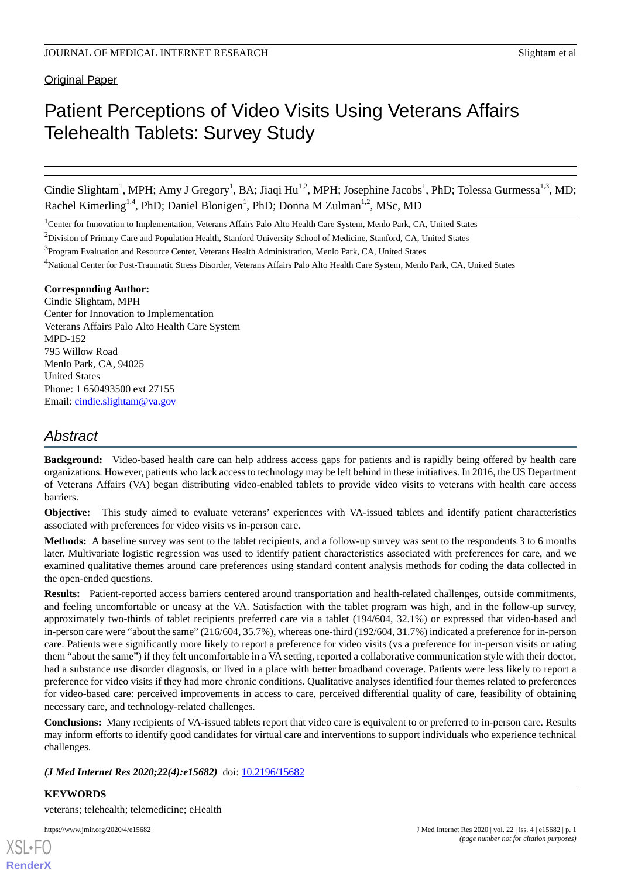**Original Paper** 

# Patient Perceptions of Video Visits Using Veterans Affairs Telehealth Tablets: Survey Study

Cindie Slightam<sup>1</sup>, MPH; Amy J Gregory<sup>1</sup>, BA; Jiaqi Hu<sup>1,2</sup>, MPH; Josephine Jacobs<sup>1</sup>, PhD; Tolessa Gurmessa<sup>1,3</sup>, MD; Rachel Kimerling<sup>1,4</sup>, PhD; Daniel Blonigen<sup>1</sup>, PhD; Donna M Zulman<sup>1,2</sup>, MSc, MD

<sup>1</sup>Center for Innovation to Implementation, Veterans Affairs Palo Alto Health Care System, Menlo Park, CA, United States

#### **Corresponding Author:**

Cindie Slightam, MPH Center for Innovation to Implementation Veterans Affairs Palo Alto Health Care System MPD-152 795 Willow Road Menlo Park, CA, 94025 United States Phone: 1 650493500 ext 27155 Email: [cindie.slightam@va.gov](mailto:cindie.slightam@va.gov)

# *Abstract*

**Background:** Video-based health care can help address access gaps for patients and is rapidly being offered by health care organizations. However, patients who lack access to technology may be left behind in these initiatives. In 2016, the US Department of Veterans Affairs (VA) began distributing video-enabled tablets to provide video visits to veterans with health care access barriers.

**Objective:** This study aimed to evaluate veterans' experiences with VA-issued tablets and identify patient characteristics associated with preferences for video visits vs in-person care.

**Methods:** A baseline survey was sent to the tablet recipients, and a follow-up survey was sent to the respondents 3 to 6 months later. Multivariate logistic regression was used to identify patient characteristics associated with preferences for care, and we examined qualitative themes around care preferences using standard content analysis methods for coding the data collected in the open-ended questions.

**Results:** Patient-reported access barriers centered around transportation and health-related challenges, outside commitments, and feeling uncomfortable or uneasy at the VA. Satisfaction with the tablet program was high, and in the follow-up survey, approximately two-thirds of tablet recipients preferred care via a tablet (194/604, 32.1%) or expressed that video-based and in-person care were "about the same" (216/604, 35.7%), whereas one-third (192/604, 31.7%) indicated a preference for in-person care. Patients were significantly more likely to report a preference for video visits (vs a preference for in-person visits or rating them "about the same") if they felt uncomfortable in a VA setting, reported a collaborative communication style with their doctor, had a substance use disorder diagnosis, or lived in a place with better broadband coverage. Patients were less likely to report a preference for video visits if they had more chronic conditions. Qualitative analyses identified four themes related to preferences for video-based care: perceived improvements in access to care, perceived differential quality of care, feasibility of obtaining necessary care, and technology-related challenges.

**Conclusions:** Many recipients of VA-issued tablets report that video care is equivalent to or preferred to in-person care. Results may inform efforts to identify good candidates for virtual care and interventions to support individuals who experience technical challenges.

*(J Med Internet Res 2020;22(4):e15682)* doi:  $10.2196/15682$ 

**KEYWORDS** veterans; telehealth; telemedicine; eHealth

<sup>&</sup>lt;sup>2</sup>Division of Primary Care and Population Health, Stanford University School of Medicine, Stanford, CA, United States

<sup>&</sup>lt;sup>3</sup>Program Evaluation and Resource Center, Veterans Health Administration, Menlo Park, CA, United States

<sup>4</sup>National Center for Post-Traumatic Stress Disorder, Veterans Affairs Palo Alto Health Care System, Menlo Park, CA, United States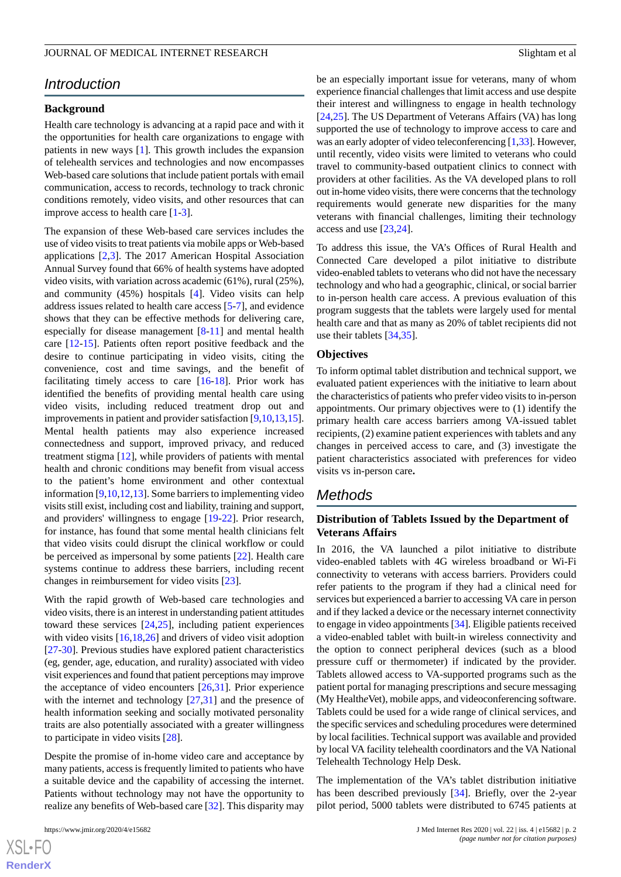## *Introduction*

## **Background**

Health care technology is advancing at a rapid pace and with it the opportunities for health care organizations to engage with patients in new ways [[1\]](#page-13-0). This growth includes the expansion of telehealth services and technologies and now encompasses Web-based care solutions that include patient portals with email communication, access to records, technology to track chronic conditions remotely, video visits, and other resources that can improve access to health care  $[1-3]$  $[1-3]$  $[1-3]$  $[1-3]$ .

The expansion of these Web-based care services includes the use of video visits to treat patients via mobile apps or Web-based applications [\[2](#page-13-2),[3](#page-13-1)]. The 2017 American Hospital Association Annual Survey found that 66% of health systems have adopted video visits, with variation across academic (61%), rural (25%), and community (45%) hospitals [[4\]](#page-13-3). Video visits can help address issues related to health care access [[5](#page-13-4)[-7](#page-13-5)], and evidence shows that they can be effective methods for delivering care, especially for disease management [[8-](#page-13-6)[11\]](#page-13-7) and mental health care [\[12](#page-13-8)-[15\]](#page-14-0). Patients often report positive feedback and the desire to continue participating in video visits, citing the convenience, cost and time savings, and the benefit of facilitating timely access to care [\[16](#page-14-1)-[18\]](#page-14-2). Prior work has identified the benefits of providing mental health care using video visits, including reduced treatment drop out and improvements in patient and provider satisfaction [\[9](#page-13-9),[10](#page-13-10)[,13](#page-13-11),[15\]](#page-14-0). Mental health patients may also experience increased connectedness and support, improved privacy, and reduced treatment stigma [[12\]](#page-13-8), while providers of patients with mental health and chronic conditions may benefit from visual access to the patient's home environment and other contextual information [[9](#page-13-9)[,10](#page-13-10),[12,](#page-13-8)[13\]](#page-13-11). Some barriers to implementing video visits still exist, including cost and liability, training and support, and providers' willingness to engage [\[19](#page-14-3)-[22\]](#page-14-4). Prior research, for instance, has found that some mental health clinicians felt that video visits could disrupt the clinical workflow or could be perceived as impersonal by some patients [\[22](#page-14-4)]. Health care systems continue to address these barriers, including recent changes in reimbursement for video visits [[23\]](#page-14-5).

With the rapid growth of Web-based care technologies and video visits, there is an interest in understanding patient attitudes toward these services [[24,](#page-14-6)[25](#page-14-7)], including patient experiences with video visits [\[16](#page-14-1),[18,](#page-14-2)[26](#page-14-8)] and drivers of video visit adoption [[27](#page-14-9)[-30](#page-14-10)]. Previous studies have explored patient characteristics (eg, gender, age, education, and rurality) associated with video visit experiences and found that patient perceptions may improve the acceptance of video encounters [\[26](#page-14-8),[31\]](#page-14-11). Prior experience with the internet and technology [\[27](#page-14-9),[31\]](#page-14-11) and the presence of health information seeking and socially motivated personality traits are also potentially associated with a greater willingness to participate in video visits [[28\]](#page-14-12).

Despite the promise of in-home video care and acceptance by many patients, access is frequently limited to patients who have a suitable device and the capability of accessing the internet. Patients without technology may not have the opportunity to realize any benefits of Web-based care [[32\]](#page-14-13). This disparity may

be an especially important issue for veterans, many of whom experience financial challenges that limit access and use despite their interest and willingness to engage in health technology [[24,](#page-14-6)[25\]](#page-14-7). The US Department of Veterans Affairs (VA) has long supported the use of technology to improve access to care and was an early adopter of video teleconferencing [\[1](#page-13-0),[33](#page-15-0)]. However, until recently, video visits were limited to veterans who could travel to community-based outpatient clinics to connect with providers at other facilities. As the VA developed plans to roll out in-home video visits, there were concerns that the technology requirements would generate new disparities for the many veterans with financial challenges, limiting their technology access and use [[23](#page-14-5)[,24](#page-14-6)].

To address this issue, the VA's Offices of Rural Health and Connected Care developed a pilot initiative to distribute video-enabled tablets to veterans who did not have the necessary technology and who had a geographic, clinical, or social barrier to in-person health care access. A previous evaluation of this program suggests that the tablets were largely used for mental health care and that as many as 20% of tablet recipients did not use their tablets [\[34](#page-15-1),[35\]](#page-15-2).

#### **Objectives**

To inform optimal tablet distribution and technical support, we evaluated patient experiences with the initiative to learn about the characteristics of patients who prefer video visits to in-person appointments. Our primary objectives were to (1) identify the primary health care access barriers among VA-issued tablet recipients, (2) examine patient experiences with tablets and any changes in perceived access to care, and (3) investigate the patient characteristics associated with preferences for video visits vs in-person care**.**

## *Methods*

## **Distribution of Tablets Issued by the Department of Veterans Affairs**

In 2016, the VA launched a pilot initiative to distribute video-enabled tablets with 4G wireless broadband or Wi-Fi connectivity to veterans with access barriers. Providers could refer patients to the program if they had a clinical need for services but experienced a barrier to accessing VA care in person and if they lacked a device or the necessary internet connectivity to engage in video appointments [[34\]](#page-15-1). Eligible patients received a video-enabled tablet with built-in wireless connectivity and the option to connect peripheral devices (such as a blood pressure cuff or thermometer) if indicated by the provider. Tablets allowed access to VA-supported programs such as the patient portal for managing prescriptions and secure messaging (My Health*e*Vet), mobile apps, and videoconferencing software. Tablets could be used for a wide range of clinical services, and the specific services and scheduling procedures were determined by local facilities. Technical support was available and provided by local VA facility telehealth coordinators and the VA National Telehealth Technology Help Desk.

The implementation of the VA's tablet distribution initiative has been described previously [[34\]](#page-15-1). Briefly, over the 2-year pilot period, 5000 tablets were distributed to 6745 patients at

 $XS$  $\cdot$ FC **[RenderX](http://www.renderx.com/)**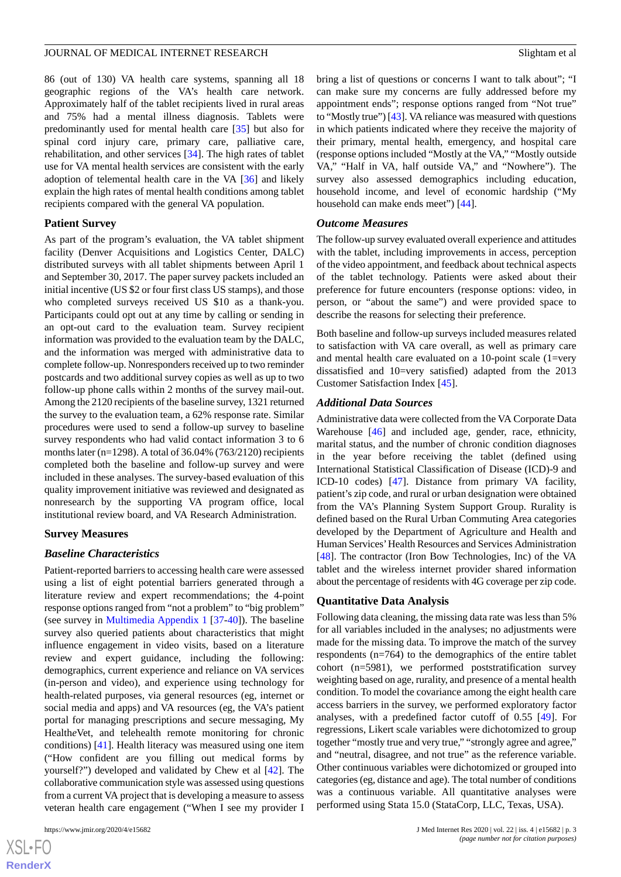86 (out of 130) VA health care systems, spanning all 18 geographic regions of the VA's health care network. Approximately half of the tablet recipients lived in rural areas and 75% had a mental illness diagnosis. Tablets were predominantly used for mental health care [\[35](#page-15-2)] but also for spinal cord injury care, primary care, palliative care, rehabilitation, and other services [[34\]](#page-15-1). The high rates of tablet use for VA mental health services are consistent with the early adoption of telemental health care in the VA [[36\]](#page-15-3) and likely explain the high rates of mental health conditions among tablet recipients compared with the general VA population.

#### **Patient Survey**

As part of the program's evaluation, the VA tablet shipment facility (Denver Acquisitions and Logistics Center, DALC) distributed surveys with all tablet shipments between April 1 and September 30, 2017. The paper survey packets included an initial incentive (US \$2 or four first class US stamps), and those who completed surveys received US \$10 as a thank-you. Participants could opt out at any time by calling or sending in an opt-out card to the evaluation team. Survey recipient information was provided to the evaluation team by the DALC, and the information was merged with administrative data to complete follow-up. Nonresponders received up to two reminder postcards and two additional survey copies as well as up to two follow-up phone calls within 2 months of the survey mail-out. Among the 2120 recipients of the baseline survey, 1321 returned the survey to the evaluation team, a 62% response rate. Similar procedures were used to send a follow-up survey to baseline survey respondents who had valid contact information 3 to 6 months later (n=1298). A total of  $36.04\%$  (763/2120) recipients completed both the baseline and follow-up survey and were included in these analyses. The survey-based evaluation of this quality improvement initiative was reviewed and designated as nonresearch by the supporting VA program office, local institutional review board, and VA Research Administration.

### **Survey Measures**

### *Baseline Characteristics*

Patient-reported barriers to accessing health care were assessed using a list of eight potential barriers generated through a literature review and expert recommendations; the 4-point response options ranged from "not a problem" to "big problem" (see survey in [Multimedia Appendix 1](#page-13-12) [[37](#page-15-4)[-40](#page-15-5)]). The baseline survey also queried patients about characteristics that might influence engagement in video visits, based on a literature review and expert guidance, including the following: demographics, current experience and reliance on VA services (in-person and video), and experience using technology for health-related purposes, via general resources (eg, internet or social media and apps) and VA resources (eg, the VA's patient portal for managing prescriptions and secure messaging, My Health*e*Vet, and telehealth remote monitoring for chronic conditions) [\[41](#page-15-6)]. Health literacy was measured using one item ("How confident are you filling out medical forms by yourself?") developed and validated by Chew et al [[42\]](#page-15-7). The collaborative communication style was assessed using questions from a current VA project that is developing a measure to assess veteran health care engagement ("When I see my provider I

bring a list of questions or concerns I want to talk about"; "I can make sure my concerns are fully addressed before my appointment ends"; response options ranged from "Not true" to "Mostly true") [\[43\]](#page-15-8). VA reliance was measured with questions in which patients indicated where they receive the majority of their primary, mental health, emergency, and hospital care (response options included "Mostly at the VA," "Mostly outside VA," "Half in VA, half outside VA," and "Nowhere"). The survey also assessed demographics including education, household income, and level of economic hardship ("My household can make ends meet") [[44\]](#page-15-9).

#### *Outcome Measures*

The follow-up survey evaluated overall experience and attitudes with the tablet, including improvements in access, perception of the video appointment, and feedback about technical aspects of the tablet technology. Patients were asked about their preference for future encounters (response options: video, in person, or "about the same") and were provided space to describe the reasons for selecting their preference.

Both baseline and follow-up surveys included measures related to satisfaction with VA care overall, as well as primary care and mental health care evaluated on a 10-point scale (1=very dissatisfied and 10=very satisfied) adapted from the 2013 Customer Satisfaction Index [\[45](#page-15-10)].

#### *Additional Data Sources*

Administrative data were collected from the VA Corporate Data Warehouse [\[46](#page-15-11)] and included age, gender, race, ethnicity, marital status, and the number of chronic condition diagnoses in the year before receiving the tablet (defined using International Statistical Classification of Disease (ICD)-9 and ICD-10 codes) [\[47](#page-15-12)]. Distance from primary VA facility, patient's zip code, and rural or urban designation were obtained from the VA's Planning System Support Group. Rurality is defined based on the Rural Urban Commuting Area categories developed by the Department of Agriculture and Health and Human Services'Health Resources and Services Administration [[48\]](#page-15-13). The contractor (Iron Bow Technologies, Inc) of the VA tablet and the wireless internet provider shared information about the percentage of residents with 4G coverage per zip code.

### **Quantitative Data Analysis**

Following data cleaning, the missing data rate was less than 5% for all variables included in the analyses; no adjustments were made for the missing data. To improve the match of the survey respondents (n=764) to the demographics of the entire tablet cohort (n=5981), we performed poststratification survey weighting based on age, rurality, and presence of a mental health condition. To model the covariance among the eight health care access barriers in the survey, we performed exploratory factor analyses, with a predefined factor cutoff of 0.55 [\[49](#page-15-14)]. For regressions, Likert scale variables were dichotomized to group together "mostly true and very true," "strongly agree and agree," and "neutral, disagree, and not true" as the reference variable. Other continuous variables were dichotomized or grouped into categories (eg, distance and age). The total number of conditions was a continuous variable. All quantitative analyses were performed using Stata 15.0 (StataCorp, LLC, Texas, USA).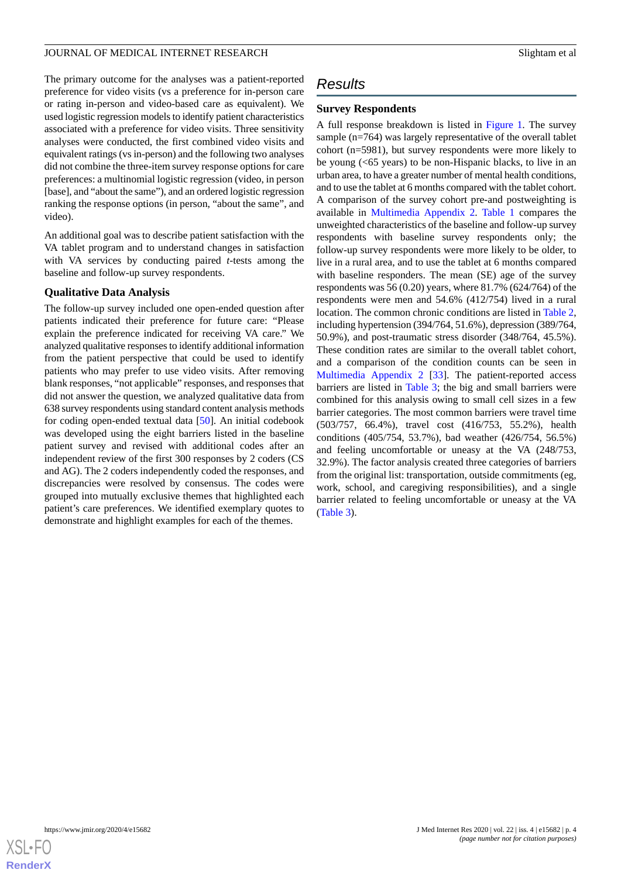The primary outcome for the analyses was a patient-reported preference for video visits (vs a preference for in-person care or rating in-person and video-based care as equivalent). We used logistic regression models to identify patient characteristics associated with a preference for video visits. Three sensitivity analyses were conducted, the first combined video visits and equivalent ratings (vs in-person) and the following two analyses did not combine the three-item survey response options for care preferences: a multinomial logistic regression (video, in person [base], and "about the same"), and an ordered logistic regression ranking the response options (in person, "about the same", and video).

An additional goal was to describe patient satisfaction with the VA tablet program and to understand changes in satisfaction with VA services by conducting paired *t*-tests among the baseline and follow-up survey respondents.

### **Qualitative Data Analysis**

The follow-up survey included one open-ended question after patients indicated their preference for future care: "Please explain the preference indicated for receiving VA care." We analyzed qualitative responses to identify additional information from the patient perspective that could be used to identify patients who may prefer to use video visits. After removing blank responses, "not applicable" responses, and responses that did not answer the question, we analyzed qualitative data from 638 survey respondents using standard content analysis methods for coding open-ended textual data [[50\]](#page-15-15). An initial codebook was developed using the eight barriers listed in the baseline patient survey and revised with additional codes after an independent review of the first 300 responses by 2 coders (CS and AG). The 2 coders independently coded the responses, and discrepancies were resolved by consensus. The codes were grouped into mutually exclusive themes that highlighted each patient's care preferences. We identified exemplary quotes to demonstrate and highlight examples for each of the themes.

# *Results*

## **Survey Respondents**

A full response breakdown is listed in [Figure 1.](#page-4-0) The survey sample (n=764) was largely representative of the overall tablet cohort (n=5981), but survey respondents were more likely to be young (<65 years) to be non-Hispanic blacks, to live in an urban area, to have a greater number of mental health conditions, and to use the tablet at 6 months compared with the tablet cohort. A comparison of the survey cohort pre-and postweighting is available in [Multimedia Appendix 2.](#page-13-13) [Table 1](#page-5-0) compares the unweighted characteristics of the baseline and follow-up survey respondents with baseline survey respondents only; the follow-up survey respondents were more likely to be older, to live in a rural area, and to use the tablet at 6 months compared with baseline responders. The mean (SE) age of the survey respondents was  $56 (0.20)$  years, where  $81.7\%$  (624/764) of the respondents were men and 54.6% (412/754) lived in a rural location. The common chronic conditions are listed in [Table 2](#page-7-0), including hypertension (394/764, 51.6%), depression (389/764, 50.9%), and post-traumatic stress disorder (348/764, 45.5%). These condition rates are similar to the overall tablet cohort, and a comparison of the condition counts can be seen in [Multimedia Appendix 2](#page-13-13) [\[33](#page-15-0)]. The patient-reported access barriers are listed in [Table 3](#page-8-0); the big and small barriers were combined for this analysis owing to small cell sizes in a few barrier categories. The most common barriers were travel time (503/757, 66.4%), travel cost (416/753, 55.2%), health conditions (405/754, 53.7%), bad weather (426/754, 56.5%) and feeling uncomfortable or uneasy at the VA (248/753, 32.9%). The factor analysis created three categories of barriers from the original list: transportation, outside commitments (eg, work, school, and caregiving responsibilities), and a single barrier related to feeling uncomfortable or uneasy at the VA ([Table 3](#page-8-0)).

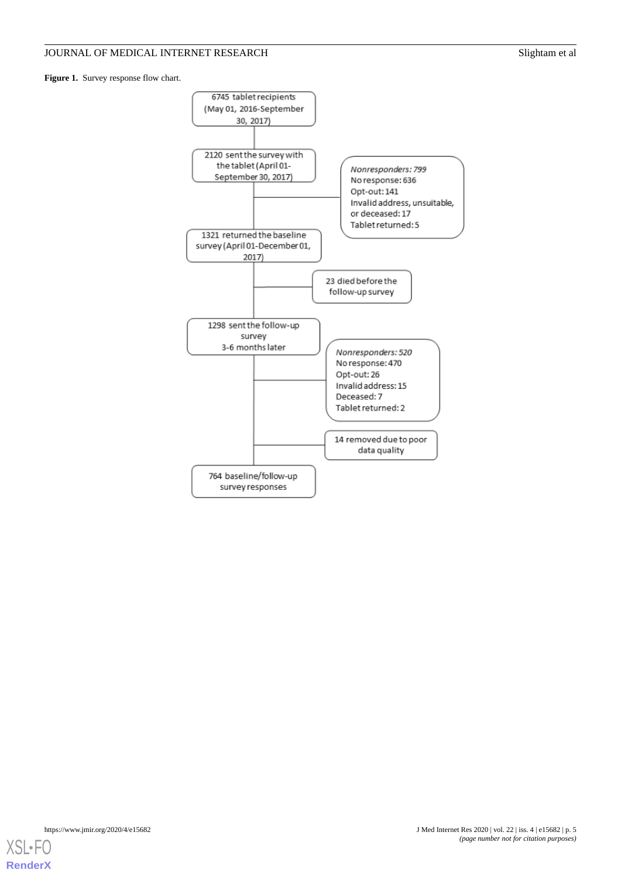<span id="page-4-0"></span>Figure 1. Survey response flow chart.



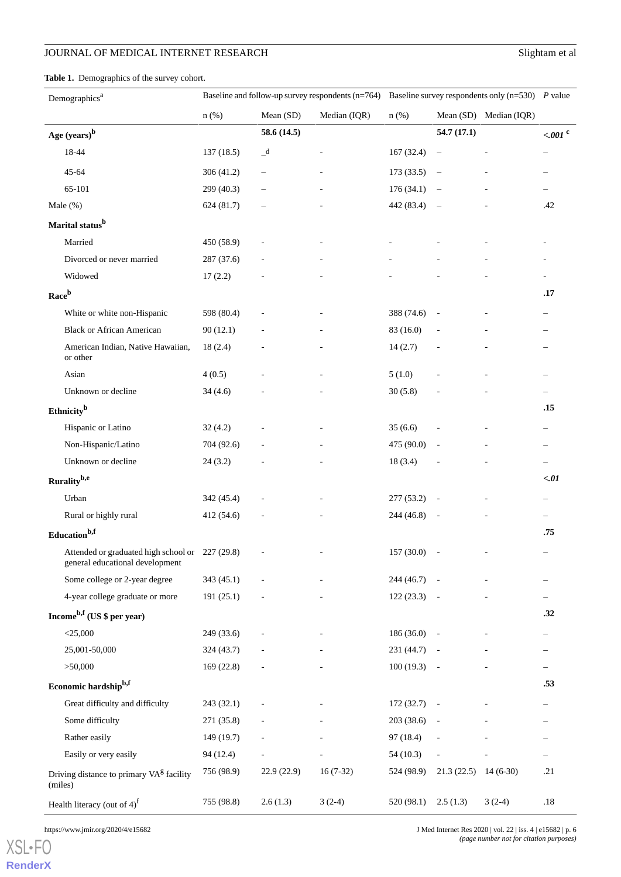<span id="page-5-0"></span>**Table 1.** Demographics of the survey cohort.

| Demographics <sup>a</sup>                                                          | Baseline and follow-up survey respondents (n=764) |                          | Baseline survey respondents only $(n=530)$ P value |            |                          |                        |                          |
|------------------------------------------------------------------------------------|---------------------------------------------------|--------------------------|----------------------------------------------------|------------|--------------------------|------------------------|--------------------------|
|                                                                                    | $n$ (%)                                           | Mean (SD)                | Median (IQR)                                       | $n$ (%)    |                          | Mean (SD) Median (IQR) |                          |
| Age (years) <sup>b</sup>                                                           |                                                   | 58.6 (14.5)              |                                                    |            | 54.7 (17.1)              |                        | $<.001$ <sup>c</sup>     |
| 18-44                                                                              | 137(18.5)                                         | $\_d$                    |                                                    | 167 (32.4) | $\qquad \qquad -$        |                        | $\qquad \qquad -$        |
| $45 - 64$                                                                          | 306(41.2)                                         | $\overline{\phantom{0}}$ |                                                    | 173(33.5)  | $\overline{\phantom{m}}$ |                        |                          |
| 65-101                                                                             | 299 (40.3)                                        |                          |                                                    | 176(34.1)  | $\overline{\phantom{m}}$ |                        |                          |
| Male $(\%)$                                                                        | 624 (81.7)                                        |                          |                                                    | 442 (83.4) | $\overline{\phantom{0}}$ |                        | .42                      |
| Marital status <sup>b</sup>                                                        |                                                   |                          |                                                    |            |                          |                        |                          |
| Married                                                                            | 450 (58.9)                                        |                          |                                                    |            |                          |                        |                          |
| Divorced or never married                                                          | 287(37.6)                                         |                          |                                                    |            |                          |                        |                          |
| Widowed                                                                            | 17(2.2)                                           |                          |                                                    |            |                          |                        | $\overline{\phantom{a}}$ |
| Raceb                                                                              |                                                   |                          |                                                    |            |                          |                        | .17                      |
| White or white non-Hispanic                                                        | 598 (80.4)                                        |                          |                                                    | 388 (74.6) | $\overline{\phantom{a}}$ |                        | $\qquad \qquad -$        |
| <b>Black or African American</b>                                                   | 90(12.1)                                          |                          |                                                    | 83 (16.0)  |                          |                        | $\overline{\phantom{0}}$ |
| American Indian, Native Hawaiian,<br>or other                                      | 18(2.4)                                           |                          |                                                    | 14(2.7)    |                          |                        |                          |
| Asian                                                                              | 4(0.5)                                            |                          |                                                    | 5(1.0)     |                          |                        |                          |
| Unknown or decline                                                                 | 34(4.6)                                           |                          |                                                    | 30(5.8)    |                          |                        | $\qquad \qquad -$        |
| Ethnicity <sup>b</sup>                                                             |                                                   |                          |                                                    |            |                          |                        | .15                      |
| Hispanic or Latino                                                                 | 32(4.2)                                           |                          |                                                    | 35(6.6)    |                          |                        | $\qquad \qquad -$        |
| Non-Hispanic/Latino                                                                | 704 (92.6)                                        |                          |                                                    | 475 (90.0) | $\overline{\phantom{a}}$ |                        | $\overline{\phantom{m}}$ |
| Unknown or decline                                                                 | 24(3.2)                                           |                          |                                                    | 18(3.4)    |                          |                        | $\qquad \qquad -$        |
| Rurality <sup>b,e</sup>                                                            |                                                   |                          |                                                    |            |                          |                        | < 01                     |
| Urban                                                                              | 342 (45.4)                                        |                          |                                                    | 277 (53.2) | $\overline{\phantom{a}}$ |                        |                          |
| Rural or highly rural                                                              | 412 (54.6)                                        |                          |                                                    | 244 (46.8) |                          |                        | $\qquad \qquad -$        |
| Education <sup>b,f</sup>                                                           |                                                   |                          |                                                    |            |                          |                        | .75                      |
| Attended or graduated high school or 227 (29.8)<br>general educational development |                                                   |                          |                                                    | 157 (30.0) | $\overline{\phantom{a}}$ |                        | $\overline{\phantom{m}}$ |
| Some college or 2-year degree                                                      | 343(45.1)                                         |                          |                                                    | 244 (46.7) |                          |                        |                          |
| 4-year college graduate or more                                                    | 191(25.1)                                         |                          |                                                    | 122(23.3)  |                          |                        |                          |
| Income <sup>b,f</sup> (US $\frac{1}{2}$ per year)                                  |                                                   |                          |                                                    |            |                          |                        | .32                      |
| $<$ 25,000                                                                         | 249 (33.6)                                        |                          |                                                    | 186 (36.0) | $\overline{\phantom{a}}$ |                        | $\overline{\phantom{0}}$ |
| 25,001-50,000                                                                      | 324(43.7)                                         |                          |                                                    | 231 (44.7) |                          |                        |                          |
| >50,000                                                                            | 169(22.8)                                         |                          |                                                    | 100(19.3)  | $\overline{\phantom{a}}$ |                        |                          |
| Economic hardshipb,f                                                               |                                                   |                          |                                                    |            |                          |                        | .53                      |
| Great difficulty and difficulty                                                    | 243 (32.1)                                        |                          |                                                    | 172 (32.7) |                          |                        |                          |
| Some difficulty                                                                    | 271 (35.8)                                        |                          |                                                    | 203 (38.6) |                          |                        |                          |
| Rather easily                                                                      | 149(19.7)                                         |                          |                                                    | 97 (18.4)  |                          |                        |                          |
| Easily or very easily                                                              | 94 (12.4)                                         |                          |                                                    | 54(10.3)   |                          |                        |                          |
| Driving distance to primary VA <sup>g</sup> facility<br>(miles)                    | 756 (98.9)                                        | 22.9(22.9)               | $16(7-32)$                                         | 524 (98.9) | $21.3(22.5)$ 14 (6-30)   |                        | .21                      |

Health literacy (out of 4)<sup>f</sup> 755 (98.8) 2.6 (1.3) 3 (2-4) 520 (98.1) 2.5 (1.3) 3 (2-4) .18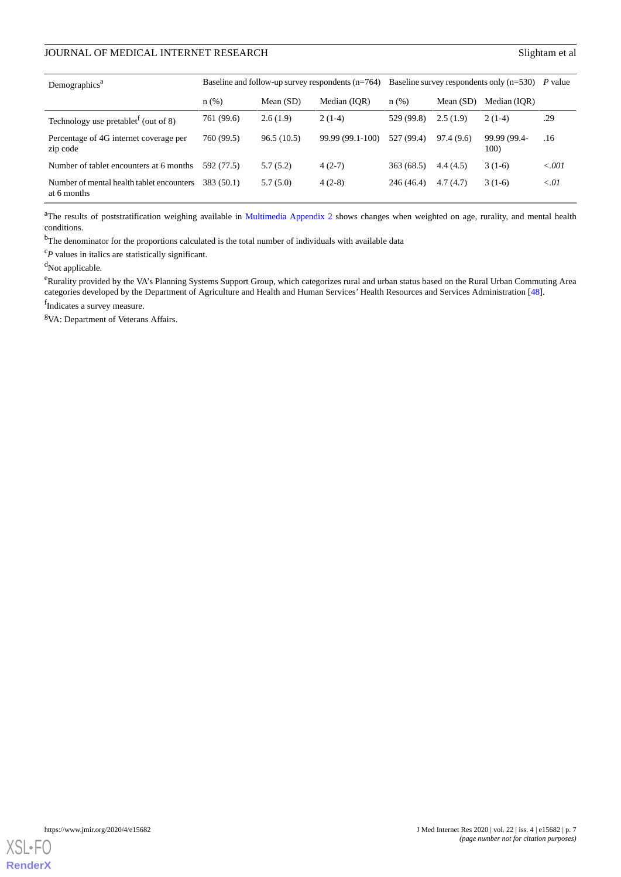| Demographics <sup>a</sup>                                     |            |             | Baseline and follow-up survey respondents $(n=764)$ | Baseline survey respondents only $(n=530)$ |             | P value              |         |
|---------------------------------------------------------------|------------|-------------|-----------------------------------------------------|--------------------------------------------|-------------|----------------------|---------|
|                                                               | n(%)       | Mean $(SD)$ | Median (IOR)                                        | $n(\%)$                                    | Mean $(SD)$ | Median (IOR)         |         |
| Technology use pretablet <sup><math>I</math></sup> (out of 8) | 761 (99.6) | 2.6(1.9)    | $2(1-4)$                                            | 529 (99.8)                                 | 2.5(1.9)    | $2(1-4)$             | .29     |
| Percentage of 4G internet coverage per<br>zip code            | 760 (99.5) | 96.5(10.5)  | 99.99 (99.1-100)                                    | 527 (99.4)                                 | 97.4(9.6)   | 99.99 (99.4-<br>100) | .16     |
| Number of tablet encounters at 6 months                       | 592 (77.5) | 5.7(5.2)    | $4(2-7)$                                            | 363(68.5)                                  | 4.4(4.5)    | $3(1-6)$             | < 0.001 |
| Number of mental health tablet encounters<br>at 6 months      | 383 (50.1) | 5.7(5.0)    | $4(2-8)$                                            | 246 (46.4)                                 | 4.7(4.7)    | $3(1-6)$             | < 01    |

<sup>a</sup>The results of poststratification weighing available in [Multimedia Appendix 2](#page-13-13) shows changes when weighted on age, rurality, and mental health conditions.

<sup>b</sup>The denominator for the proportions calculated is the total number of individuals with available data

<sup>c</sup>*P* values in italics are statistically significant.

<sup>d</sup>Not applicable.

<sup>e</sup>Rurality provided by the VA's Planning Systems Support Group, which categorizes rural and urban status based on the Rural Urban Commuting Area categories developed by the Department of Agriculture and Health and Human Services' Health Resources and Services Administration [\[48\]](#page-15-13).

f<sub>Indicates</sub> a survey measure.

<sup>g</sup>VA: Department of Veterans Affairs.

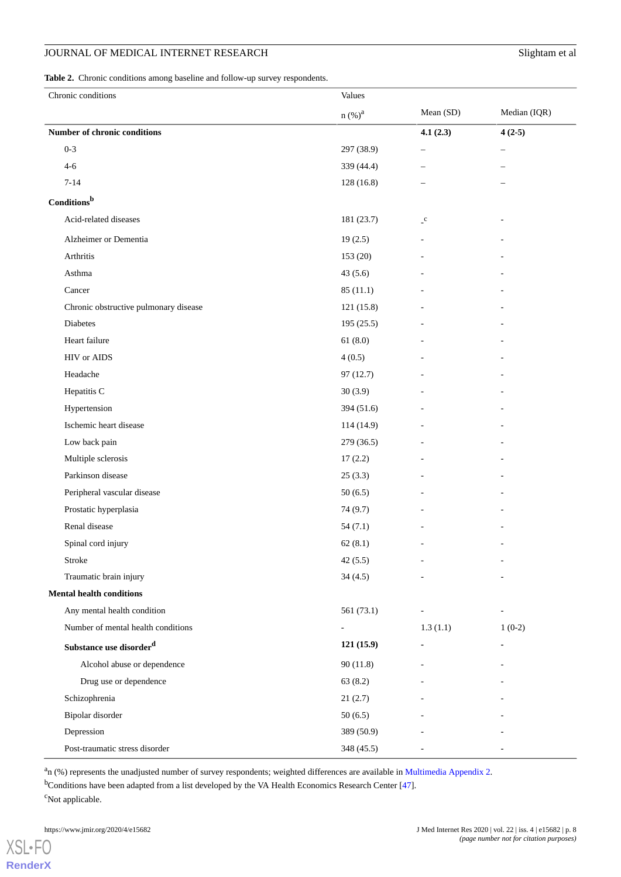## **JOURNAL OF MEDICAL INTERNET RESEARCH Slightam et al.** Slightam et al.

<span id="page-7-0"></span>**Table 2.** Chronic conditions among baseline and follow-up survey respondents.

| Chronic conditions                    | Values                   |                            |                          |
|---------------------------------------|--------------------------|----------------------------|--------------------------|
|                                       | n (%) <sup>a</sup>       | Mean (SD)                  | Median (IQR)             |
| Number of chronic conditions          |                          | 4.1(2.3)                   | $4(2-5)$                 |
| $0 - 3$                               | 297 (38.9)               | $\qquad \qquad -$          | ÷                        |
| $4 - 6$                               | 339 (44.4)               | $\overline{\phantom{0}}$   |                          |
| $7 - 14$                              | 128 (16.8)               |                            |                          |
| Conditions <sup>b</sup>               |                          |                            |                          |
| Acid-related diseases                 | 181 (23.7)               | $\mathcal{L}^{\mathbf{C}}$ |                          |
| Alzheimer or Dementia                 | 19(2.5)                  | ۰                          |                          |
| Arthritis                             | 153 (20)                 |                            |                          |
| Asthma                                | 43(5.6)                  |                            |                          |
| Cancer                                | 85(11.1)                 |                            |                          |
| Chronic obstructive pulmonary disease | 121 (15.8)               |                            |                          |
| Diabetes                              | 195(25.5)                |                            |                          |
| Heart failure                         | 61(8.0)                  |                            |                          |
| <b>HIV</b> or AIDS                    | 4(0.5)                   |                            |                          |
| Headache                              | 97(12.7)                 |                            |                          |
| Hepatitis C                           | 30(3.9)                  |                            |                          |
| Hypertension                          | 394 (51.6)               |                            |                          |
| Ischemic heart disease                | 114 (14.9)               |                            |                          |
| Low back pain                         | 279 (36.5)               |                            |                          |
| Multiple sclerosis                    | 17(2.2)                  |                            |                          |
| Parkinson disease                     | 25(3.3)                  |                            |                          |
| Peripheral vascular disease           | 50(6.5)                  |                            |                          |
| Prostatic hyperplasia                 | 74 (9.7)                 |                            |                          |
| Renal disease                         | 54(7.1)                  |                            |                          |
| Spinal cord injury                    | 62(8.1)                  |                            |                          |
| Stroke                                | 42(5.5)                  | $\overline{\phantom{a}}$   | $\overline{\phantom{a}}$ |
| Traumatic brain injury                | 34(4.5)                  |                            |                          |
| <b>Mental health conditions</b>       |                          |                            |                          |
| Any mental health condition           | 561 $(73.1)$             | $\overline{\phantom{a}}$   |                          |
| Number of mental health conditions    | $\overline{\phantom{a}}$ | 1.3(1.1)                   | $1(0-2)$                 |
| Substance use disorder <sup>d</sup>   | 121(15.9)                |                            |                          |
| Alcohol abuse or dependence           | 90(11.8)                 |                            |                          |
| Drug use or dependence                | 63(8.2)                  |                            |                          |
| Schizophrenia                         | 21(2.7)                  |                            |                          |
| Bipolar disorder                      | 50(6.5)                  |                            |                          |
| Depression                            | 389 (50.9)               |                            |                          |
| Post-traumatic stress disorder        | 348 (45.5)               |                            |                          |

<sup>a</sup>n (%) represents the unadjusted number of survey respondents; weighted differences are available in [Multimedia Appendix 2](#page-13-13).

<sup>b</sup>Conditions have been adapted from a list developed by the VA Health Economics Research Center [[47](#page-15-12)]. <sup>c</sup>Not applicable.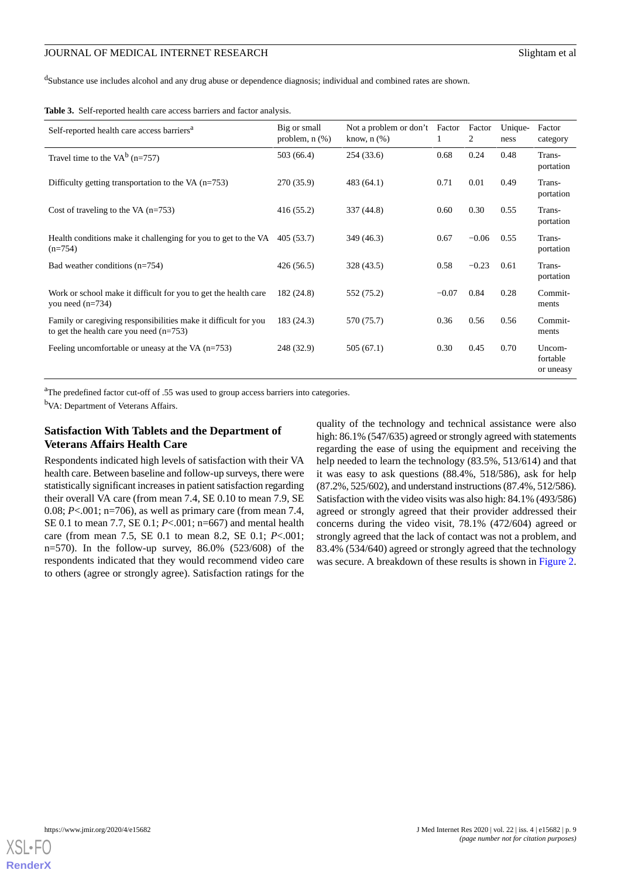<sup>d</sup>Substance use includes alcohol and any drug abuse or dependence diagnosis; individual and combined rates are shown.

<span id="page-8-0"></span>

|  |  | Table 3. Self-reported health care access barriers and factor analysis. |  |  |
|--|--|-------------------------------------------------------------------------|--|--|
|--|--|-------------------------------------------------------------------------|--|--|

| Self-reported health care access barriers <sup>a</sup>                                                       | Big or small<br>problem, $n$ $(\%)$ | Not a problem or don't Factor<br>know, $n$ $(\%)$ | 1       | Factor<br>2 | Unique-<br>ness | Factor<br>category              |
|--------------------------------------------------------------------------------------------------------------|-------------------------------------|---------------------------------------------------|---------|-------------|-----------------|---------------------------------|
| Travel time to the VA $^{b}$ (n=757)                                                                         | 503 (66.4)                          | 254(33.6)                                         | 0.68    | 0.24        | 0.48            | Trans-<br>portation             |
| Difficulty getting transportation to the VA $(n=753)$                                                        | 270 (35.9)                          | 483(64.1)                                         | 0.71    | 0.01        | 0.49            | Trans-<br>portation             |
| Cost of traveling to the VA $(n=753)$                                                                        | 416(55.2)                           | 337 (44.8)                                        | 0.60    | 0.30        | 0.55            | Trans-<br>portation             |
| Health conditions make it challenging for you to get to the VA<br>$(n=754)$                                  | 405(53.7)                           | 349 (46.3)                                        | 0.67    | $-0.06$     | 0.55            | Trans-<br>portation             |
| Bad weather conditions $(n=754)$                                                                             | 426 (56.5)                          | 328 (43.5)                                        | 0.58    | $-0.23$     | 0.61            | Trans-<br>portation             |
| Work or school make it difficult for you to get the health care<br>you need $(n=734)$                        | 182 (24.8)                          | 552 (75.2)                                        | $-0.07$ | 0.84        | 0.28            | Commit-<br>ments                |
| Family or caregiving responsibilities make it difficult for you<br>to get the health care you need $(n=753)$ | 183 (24.3)                          | 570 (75.7)                                        | 0.36    | 0.56        | 0.56            | Commit-<br>ments                |
| Feeling uncomfortable or uneasy at the VA $(n=753)$                                                          | 248 (32.9)                          | 505 (67.1)                                        | 0.30    | 0.45        | 0.70            | Uncom-<br>fortable<br>or uneasy |

<sup>a</sup>The predefined factor cut-off of .55 was used to group access barriers into categories.

b<sub>VA</sub>: Department of Veterans Affairs.

## **Satisfaction With Tablets and the Department of Veterans Affairs Health Care**

Respondents indicated high levels of satisfaction with their VA health care. Between baseline and follow-up surveys, there were statistically significant increases in patient satisfaction regarding their overall VA care (from mean 7.4, SE 0.10 to mean 7.9, SE 0.08; *P*<.001; n=706), as well as primary care (from mean 7.4, SE 0.1 to mean 7.7, SE 0.1; *P*<.001; n=667) and mental health care (from mean 7.5, SE 0.1 to mean 8.2, SE 0.1; *P*<.001; n=570). In the follow-up survey, 86.0% (523/608) of the respondents indicated that they would recommend video care to others (agree or strongly agree). Satisfaction ratings for the

quality of the technology and technical assistance were also high: 86.1% (547/635) agreed or strongly agreed with statements regarding the ease of using the equipment and receiving the help needed to learn the technology (83.5%, 513/614) and that it was easy to ask questions (88.4%, 518/586), ask for help (87.2%, 525/602), and understand instructions (87.4%, 512/586). Satisfaction with the video visits was also high: 84.1% (493/586) agreed or strongly agreed that their provider addressed their concerns during the video visit, 78.1% (472/604) agreed or strongly agreed that the lack of contact was not a problem, and 83.4% (534/640) agreed or strongly agreed that the technology was secure. A breakdown of these results is shown in [Figure 2](#page-9-0).

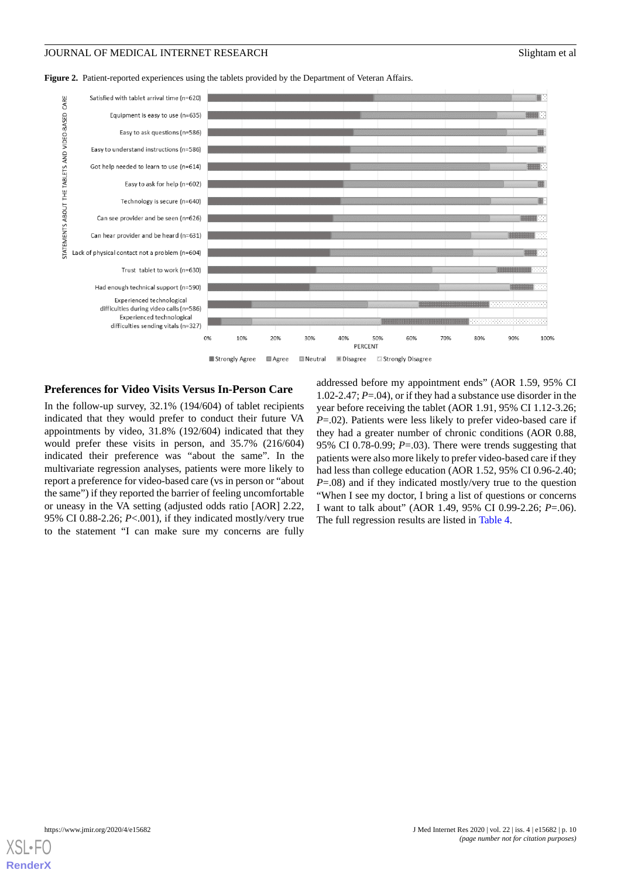<span id="page-9-0"></span>Figure 2. Patient-reported experiences using the tablets provided by the Department of Veteran Affairs.



## **Preferences for Video Visits Versus In-Person Care**

In the follow-up survey, 32.1% (194/604) of tablet recipients indicated that they would prefer to conduct their future VA appointments by video, 31.8% (192/604) indicated that they would prefer these visits in person, and 35.7% (216/604) indicated their preference was "about the same". In the multivariate regression analyses, patients were more likely to report a preference for video-based care (vs in person or "about the same") if they reported the barrier of feeling uncomfortable or uneasy in the VA setting (adjusted odds ratio [AOR] 2.22, 95% CI 0.88-2.26; *P*<.001), if they indicated mostly/very true to the statement "I can make sure my concerns are fully

addressed before my appointment ends" (AOR 1.59, 95% CI 1.02-2.47; *P*=.04), or if they had a substance use disorder in the year before receiving the tablet (AOR 1.91, 95% CI 1.12-3.26; *P*=.02). Patients were less likely to prefer video-based care if they had a greater number of chronic conditions (AOR 0.88, 95% CI 0.78-0.99; *P*=.03). There were trends suggesting that patients were also more likely to prefer video-based care if they had less than college education (AOR 1.52, 95% CI 0.96-2.40; *P*=.08) and if they indicated mostly/very true to the question "When I see my doctor, I bring a list of questions or concerns I want to talk about" (AOR 1.49, 95% CI 0.99-2.26; *P*=.06). The full regression results are listed in [Table 4.](#page-10-0)

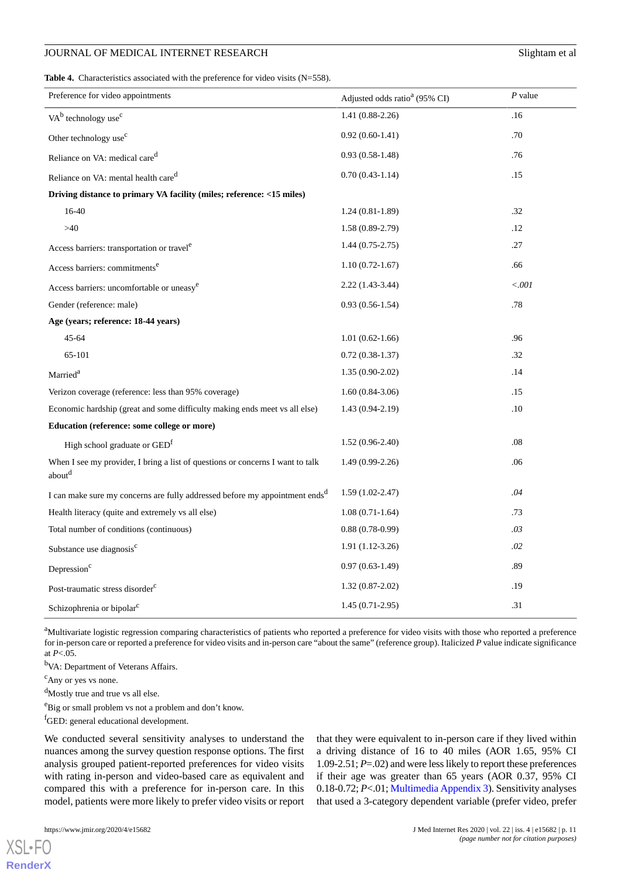<span id="page-10-0"></span>**Table 4.** Characteristics associated with the preference for video visits (N=558).

| Preference for video appointments                                                                    | Adjusted odds ratio <sup>a</sup> (95% CI) | $P$ value |
|------------------------------------------------------------------------------------------------------|-------------------------------------------|-----------|
| $VAb$ technology use <sup>c</sup>                                                                    | $1.41(0.88-2.26)$                         | .16       |
| Other technology use <sup>c</sup>                                                                    | $0.92(0.60-1.41)$                         | .70       |
| Reliance on VA: medical care <sup>d</sup>                                                            | $0.93(0.58-1.48)$                         | .76       |
| Reliance on VA: mental health care <sup>d</sup>                                                      | $0.70(0.43-1.14)$                         | .15       |
| Driving distance to primary VA facility (miles; reference: <15 miles)                                |                                           |           |
| 16-40                                                                                                | $1.24(0.81-1.89)$                         | .32       |
| $>40$                                                                                                | $1.58(0.89-2.79)$                         | .12       |
| Access barriers: transportation or travel <sup>e</sup>                                               | $1.44(0.75-2.75)$                         | .27       |
| Access barriers: commitments <sup>e</sup>                                                            | $1.10(0.72 - 1.67)$                       | .66       |
| Access barriers: uncomfortable or uneasy <sup>e</sup>                                                | 2.22 (1.43-3.44)                          | < .001    |
| Gender (reference: male)                                                                             | $0.93(0.56-1.54)$                         | .78       |
| Age (years; reference: 18-44 years)                                                                  |                                           |           |
| $45 - 64$                                                                                            | $1.01(0.62-1.66)$                         | .96       |
| 65-101                                                                                               | $0.72(0.38-1.37)$                         | .32       |
| Married <sup>a</sup>                                                                                 | $1.35(0.90-2.02)$                         | .14       |
| Verizon coverage (reference: less than 95% coverage)                                                 | $1.60(0.84-3.06)$                         | .15       |
| Economic hardship (great and some difficulty making ends meet vs all else)                           | $1.43(0.94-2.19)$                         | .10       |
| Education (reference: some college or more)                                                          |                                           |           |
| High school graduate or GED <sup>f</sup>                                                             | $1.52(0.96-2.40)$                         | .08       |
| When I see my provider, I bring a list of questions or concerns I want to talk<br>about <sup>d</sup> | $1.49(0.99-2.26)$                         | .06       |
| I can make sure my concerns are fully addressed before my appointment ends <sup>d</sup>              | $1.59(1.02-2.47)$                         | .04       |
| Health literacy (quite and extremely vs all else)                                                    | $1.08(0.71-1.64)$                         | .73       |
| Total number of conditions (continuous)                                                              | $0.88(0.78-0.99)$                         | .03       |
| Substance use diagnosis <sup>c</sup>                                                                 | $1.91(1.12-3.26)$                         | .02       |
| Depression <sup>c</sup>                                                                              | $0.97(0.63-1.49)$                         | .89       |
| Post-traumatic stress disorder <sup>c</sup>                                                          | $1.32(0.87-2.02)$                         | .19       |
| Schizophrenia or bipolar <sup>c</sup>                                                                | $1.45(0.71-2.95)$                         | .31       |

<sup>a</sup>Multivariate logistic regression comparing characteristics of patients who reported a preference for video visits with those who reported a preference for in-person care or reported a preference for video visits and in-person care "about the same" (reference group). Italicized *P* value indicate significance at  $P < 0.05$ .

<sup>b</sup>VA: Department of Veterans Affairs.

<sup>c</sup>Any or yes vs none.

<sup>d</sup>Mostly true and true vs all else.

<sup>e</sup>Big or small problem vs not a problem and don't know.

<sup>f</sup>GED: general educational development.

We conducted several sensitivity analyses to understand the nuances among the survey question response options. The first analysis grouped patient-reported preferences for video visits with rating in-person and video-based care as equivalent and compared this with a preference for in-person care. In this model, patients were more likely to prefer video visits or report

 $XS$ l • FC **[RenderX](http://www.renderx.com/)** that they were equivalent to in-person care if they lived within a driving distance of 16 to 40 miles (AOR 1.65, 95% CI 1.09-2.51; *P*=.02) and were less likely to report these preferences if their age was greater than 65 years (AOR 0.37, 95% CI 0.18-0.72; *P*<.01; [Multimedia Appendix 3](#page-13-14)). Sensitivity analyses that used a 3-category dependent variable (prefer video, prefer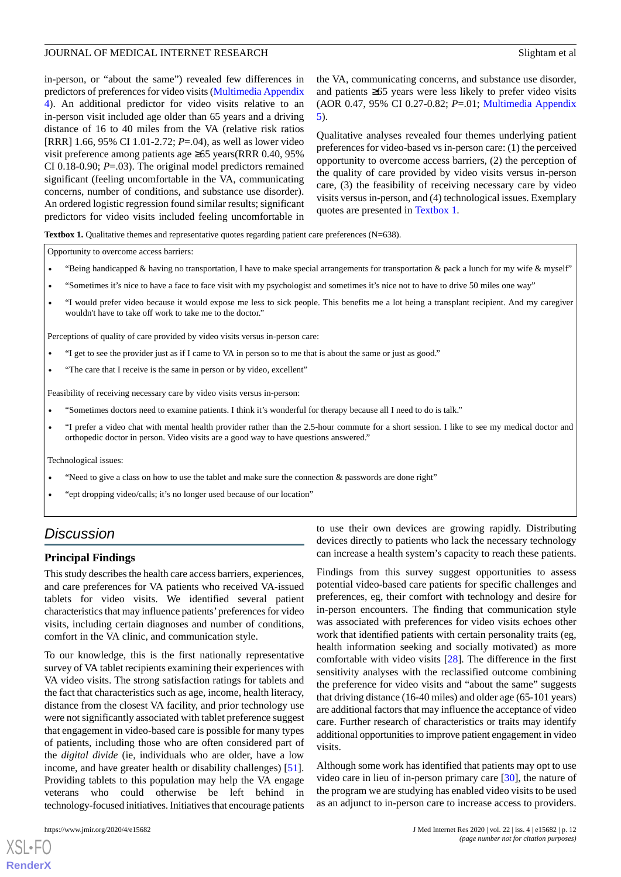in-person, or "about the same") revealed few differences in predictors of preferences for video visits ([Multimedia Appendix](#page-13-15) [4\)](#page-13-15). An additional predictor for video visits relative to an in-person visit included age older than 65 years and a driving distance of 16 to 40 miles from the VA (relative risk ratios [RRR] 1.66, 95% CI 1.01-2.72; *P*=.04), as well as lower video visit preference among patients age ≥65 years(RRR 0.40, 95% CI 0.18-0.90; *P*=.03). The original model predictors remained significant (feeling uncomfortable in the VA, communicating concerns, number of conditions, and substance use disorder). An ordered logistic regression found similar results; significant predictors for video visits included feeling uncomfortable in

the VA, communicating concerns, and substance use disorder, and patients ≥65 years were less likely to prefer video visits (AOR 0.47, 95% CI 0.27-0.82; *P*=.01; [Multimedia Appendix](#page-13-16) [5\)](#page-13-16).

Qualitative analyses revealed four themes underlying patient preferences for video-based vs in-person care: (1) the perceived opportunity to overcome access barriers, (2) the perception of the quality of care provided by video visits versus in-person care, (3) the feasibility of receiving necessary care by video visits versus in-person, and (4) technological issues. Exemplary quotes are presented in [Textbox 1](#page-11-0).

<span id="page-11-0"></span>**Textbox 1.** Qualitative themes and representative quotes regarding patient care preferences (N=638).

Opportunity to overcome access barriers:

- "Being handicapped & having no transportation, I have to make special arrangements for transportation & pack a lunch for my wife & myself"
- "Sometimes it's nice to have a face to face visit with my psychologist and sometimes it's nice not to have to drive 50 miles one way"
- "I would prefer video because it would expose me less to sick people. This benefits me a lot being a transplant recipient. And my caregiver wouldn't have to take off work to take me to the doctor."

Perceptions of quality of care provided by video visits versus in-person care:

- "I get to see the provider just as if I came to VA in person so to me that is about the same or just as good."
- "The care that I receive is the same in person or by video, excellent"

Feasibility of receiving necessary care by video visits versus in-person:

- "Sometimes doctors need to examine patients. I think it's wonderful for therapy because all I need to do is talk."
- "I prefer a video chat with mental health provider rather than the 2.5-hour commute for a short session. I like to see my medical doctor and orthopedic doctor in person. Video visits are a good way to have questions answered."

Technological issues:

- "Need to give a class on how to use the tablet and make sure the connection  $\&$  passwords are done right"
- "ept dropping video/calls; it's no longer used because of our location"

# *Discussion*

### **Principal Findings**

This study describes the health care access barriers, experiences, and care preferences for VA patients who received VA-issued tablets for video visits. We identified several patient characteristics that may influence patients'preferences for video visits, including certain diagnoses and number of conditions, comfort in the VA clinic, and communication style.

To our knowledge, this is the first nationally representative survey of VA tablet recipients examining their experiences with VA video visits. The strong satisfaction ratings for tablets and the fact that characteristics such as age, income, health literacy, distance from the closest VA facility, and prior technology use were not significantly associated with tablet preference suggest that engagement in video-based care is possible for many types of patients, including those who are often considered part of the *digital divide* (ie, individuals who are older, have a low income, and have greater health or disability challenges) [[51\]](#page-15-16). Providing tablets to this population may help the VA engage veterans who could otherwise be left behind in technology-focused initiatives. Initiatives that encourage patients

[XSL](http://www.w3.org/Style/XSL)•FO **[RenderX](http://www.renderx.com/)**

to use their own devices are growing rapidly. Distributing devices directly to patients who lack the necessary technology can increase a health system's capacity to reach these patients.

Findings from this survey suggest opportunities to assess potential video-based care patients for specific challenges and preferences, eg, their comfort with technology and desire for in-person encounters. The finding that communication style was associated with preferences for video visits echoes other work that identified patients with certain personality traits (eg, health information seeking and socially motivated) as more comfortable with video visits [\[28](#page-14-12)]. The difference in the first sensitivity analyses with the reclassified outcome combining the preference for video visits and "about the same" suggests that driving distance (16-40 miles) and older age (65-101 years) are additional factors that may influence the acceptance of video care. Further research of characteristics or traits may identify additional opportunities to improve patient engagement in video visits.

Although some work has identified that patients may opt to use video care in lieu of in-person primary care [[30\]](#page-14-10), the nature of the program we are studying has enabled video visits to be used as an adjunct to in-person care to increase access to providers.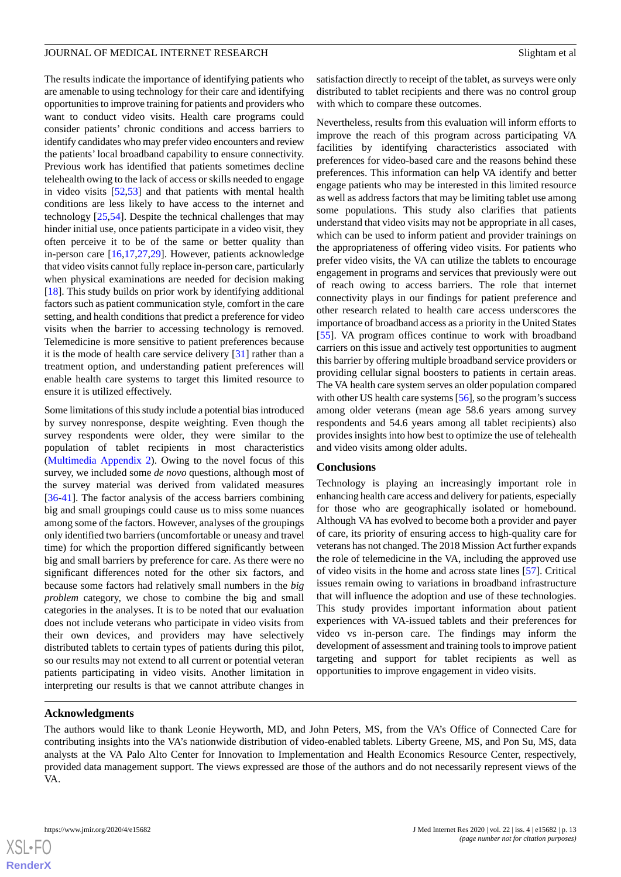The results indicate the importance of identifying patients who are amenable to using technology for their care and identifying opportunities to improve training for patients and providers who want to conduct video visits. Health care programs could consider patients' chronic conditions and access barriers to identify candidates who may prefer video encounters and review the patients' local broadband capability to ensure connectivity. Previous work has identified that patients sometimes decline telehealth owing to the lack of access or skills needed to engage in video visits [[52](#page-15-17)[,53](#page-15-18)] and that patients with mental health conditions are less likely to have access to the internet and technology [\[25](#page-14-7),[54\]](#page-15-19). Despite the technical challenges that may hinder initial use, once patients participate in a video visit, they often perceive it to be of the same or better quality than in-person care [[16](#page-14-1)[,17](#page-14-14),[27](#page-14-9)[,29](#page-14-15)]. However, patients acknowledge that video visits cannot fully replace in-person care, particularly when physical examinations are needed for decision making [[18\]](#page-14-2). This study builds on prior work by identifying additional factors such as patient communication style, comfort in the care setting, and health conditions that predict a preference for video visits when the barrier to accessing technology is removed. Telemedicine is more sensitive to patient preferences because it is the mode of health care service delivery [[31\]](#page-14-11) rather than a treatment option, and understanding patient preferences will enable health care systems to target this limited resource to ensure it is utilized effectively.

Some limitations of this study include a potential bias introduced by survey nonresponse, despite weighting. Even though the survey respondents were older, they were similar to the population of tablet recipients in most characteristics ([Multimedia Appendix 2\)](#page-13-13). Owing to the novel focus of this survey, we included some *de novo* questions, although most of the survey material was derived from validated measures [[36](#page-15-3)[-41](#page-15-6)]. The factor analysis of the access barriers combining big and small groupings could cause us to miss some nuances among some of the factors. However, analyses of the groupings only identified two barriers (uncomfortable or uneasy and travel time) for which the proportion differed significantly between big and small barriers by preference for care. As there were no significant differences noted for the other six factors, and because some factors had relatively small numbers in the *big problem* category, we chose to combine the big and small categories in the analyses. It is to be noted that our evaluation does not include veterans who participate in video visits from their own devices, and providers may have selectively distributed tablets to certain types of patients during this pilot, so our results may not extend to all current or potential veteran patients participating in video visits. Another limitation in interpreting our results is that we cannot attribute changes in

satisfaction directly to receipt of the tablet, as surveys were only distributed to tablet recipients and there was no control group with which to compare these outcomes.

Nevertheless, results from this evaluation will inform efforts to improve the reach of this program across participating VA facilities by identifying characteristics associated with preferences for video-based care and the reasons behind these preferences. This information can help VA identify and better engage patients who may be interested in this limited resource as well as address factors that may be limiting tablet use among some populations. This study also clarifies that patients understand that video visits may not be appropriate in all cases, which can be used to inform patient and provider trainings on the appropriateness of offering video visits. For patients who prefer video visits, the VA can utilize the tablets to encourage engagement in programs and services that previously were out of reach owing to access barriers. The role that internet connectivity plays in our findings for patient preference and other research related to health care access underscores the importance of broadband access as a priority in the United States [[55\]](#page-15-20). VA program offices continue to work with broadband carriers on this issue and actively test opportunities to augment this barrier by offering multiple broadband service providers or providing cellular signal boosters to patients in certain areas. The VA health care system serves an older population compared with other US health care systems [[56\]](#page-16-0), so the program's success among older veterans (mean age 58.6 years among survey respondents and 54.6 years among all tablet recipients) also provides insights into how best to optimize the use of telehealth and video visits among older adults.

### **Conclusions**

Technology is playing an increasingly important role in enhancing health care access and delivery for patients, especially for those who are geographically isolated or homebound. Although VA has evolved to become both a provider and payer of care, its priority of ensuring access to high-quality care for veterans has not changed. The 2018 Mission Act further expands the role of telemedicine in the VA, including the approved use of video visits in the home and across state lines [\[57](#page-16-1)]. Critical issues remain owing to variations in broadband infrastructure that will influence the adoption and use of these technologies. This study provides important information about patient experiences with VA-issued tablets and their preferences for video vs in-person care. The findings may inform the development of assessment and training tools to improve patient targeting and support for tablet recipients as well as opportunities to improve engagement in video visits.

## **Acknowledgments**

The authors would like to thank Leonie Heyworth, MD, and John Peters, MS, from the VA's Office of Connected Care for contributing insights into the VA's nationwide distribution of video-enabled tablets. Liberty Greene, MS, and Pon Su, MS, data analysts at the VA Palo Alto Center for Innovation to Implementation and Health Economics Resource Center, respectively, provided data management support. The views expressed are those of the authors and do not necessarily represent views of the VA.

 $XS$  • FC **[RenderX](http://www.renderx.com/)**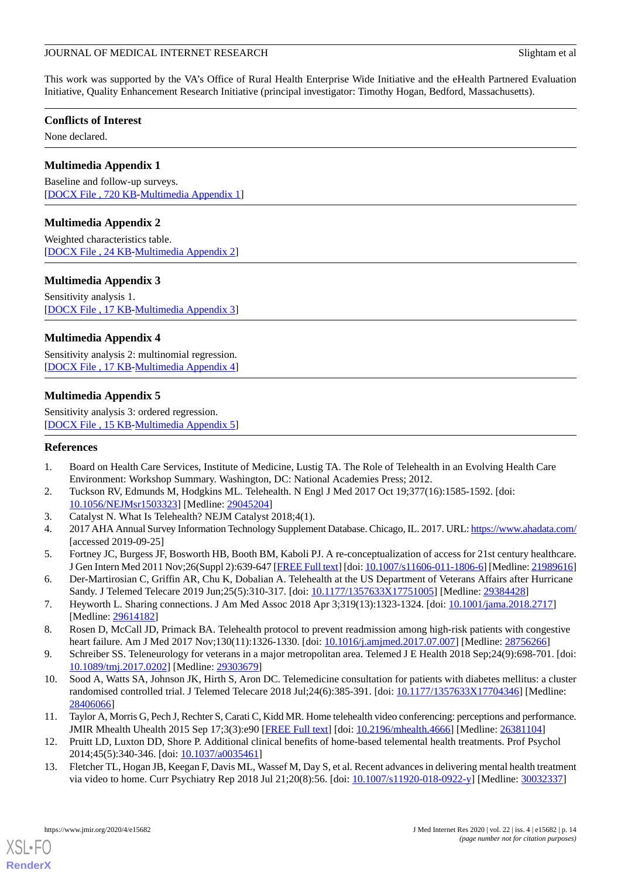This work was supported by the VA's Office of Rural Health Enterprise Wide Initiative and the eHealth Partnered Evaluation Initiative, Quality Enhancement Research Initiative (principal investigator: Timothy Hogan, Bedford, Massachusetts).

## **Conflicts of Interest**

<span id="page-13-12"></span>None declared.

## **Multimedia Appendix 1**

<span id="page-13-13"></span>Baseline and follow-up surveys. [[DOCX File , 720 KB-Multimedia Appendix 1\]](https://jmir.org/api/download?alt_name=jmir_v22i4e15682_app1.docx&filename=e472019c5db48f058dc07cbf3bb9ca17.docx)

## **Multimedia Appendix 2**

<span id="page-13-14"></span>Weighted characteristics table. [[DOCX File , 24 KB](https://jmir.org/api/download?alt_name=jmir_v22i4e15682_app2.docx&filename=d040736d40e994e383125d085a3ae385.docx)-[Multimedia Appendix 2\]](https://jmir.org/api/download?alt_name=jmir_v22i4e15682_app2.docx&filename=d040736d40e994e383125d085a3ae385.docx)

## **Multimedia Appendix 3**

<span id="page-13-15"></span>Sensitivity analysis 1. [[DOCX File , 17 KB](https://jmir.org/api/download?alt_name=jmir_v22i4e15682_app3.docx&filename=1ed78b4f212998054f07530859b8be59.docx)-[Multimedia Appendix 3\]](https://jmir.org/api/download?alt_name=jmir_v22i4e15682_app3.docx&filename=1ed78b4f212998054f07530859b8be59.docx)

## **Multimedia Appendix 4**

<span id="page-13-16"></span>Sensitivity analysis 2: multinomial regression. [[DOCX File , 17 KB](https://jmir.org/api/download?alt_name=jmir_v22i4e15682_app4.docx&filename=798b5e106459cdf766cc4166b095dc58.docx)-[Multimedia Appendix 4\]](https://jmir.org/api/download?alt_name=jmir_v22i4e15682_app4.docx&filename=798b5e106459cdf766cc4166b095dc58.docx)

## **Multimedia Appendix 5**

<span id="page-13-0"></span>Sensitivity analysis 3: ordered regression. [[DOCX File , 15 KB](https://jmir.org/api/download?alt_name=jmir_v22i4e15682_app5.docx&filename=7e3868564bfe9dce96d4cad43cbfd61d.docx)-[Multimedia Appendix 5\]](https://jmir.org/api/download?alt_name=jmir_v22i4e15682_app5.docx&filename=7e3868564bfe9dce96d4cad43cbfd61d.docx)

## <span id="page-13-2"></span>**References**

- <span id="page-13-3"></span><span id="page-13-1"></span>1. Board on Health Care Services, Institute of Medicine, Lustig TA. The Role of Telehealth in an Evolving Health Care Environment: Workshop Summary. Washington, DC: National Academies Press; 2012.
- <span id="page-13-4"></span>2. Tuckson RV, Edmunds M, Hodgkins ML. Telehealth. N Engl J Med 2017 Oct 19;377(16):1585-1592. [doi: [10.1056/NEJMsr1503323](http://dx.doi.org/10.1056/NEJMsr1503323)] [Medline: [29045204\]](http://www.ncbi.nlm.nih.gov/entrez/query.fcgi?cmd=Retrieve&db=PubMed&list_uids=29045204&dopt=Abstract)
- 3. Catalyst N. What Is Telehealth? NEJM Catalyst 2018;4(1).
- 4. 2017 AHA Annual Survey Information Technology Supplement Database. Chicago, IL. 2017. URL:<https://www.ahadata.com/> [accessed 2019-09-25]
- <span id="page-13-5"></span>5. Fortney JC, Burgess JF, Bosworth HB, Booth BM, Kaboli PJ. A re-conceptualization of access for 21st century healthcare. J Gen Intern Med 2011 Nov;26(Suppl 2):639-647 [[FREE Full text](http://europepmc.org/abstract/MED/21989616)] [doi: [10.1007/s11606-011-1806-6\]](http://dx.doi.org/10.1007/s11606-011-1806-6) [Medline: [21989616\]](http://www.ncbi.nlm.nih.gov/entrez/query.fcgi?cmd=Retrieve&db=PubMed&list_uids=21989616&dopt=Abstract)
- <span id="page-13-9"></span><span id="page-13-6"></span>6. Der-Martirosian C, Griffin AR, Chu K, Dobalian A. Telehealth at the US Department of Veterans Affairs after Hurricane Sandy. J Telemed Telecare 2019 Jun;25(5):310-317. [doi: [10.1177/1357633X17751005](http://dx.doi.org/10.1177/1357633X17751005)] [Medline: [29384428\]](http://www.ncbi.nlm.nih.gov/entrez/query.fcgi?cmd=Retrieve&db=PubMed&list_uids=29384428&dopt=Abstract)
- <span id="page-13-10"></span>7. Heyworth L. Sharing connections. J Am Med Assoc 2018 Apr 3;319(13):1323-1324. [doi: [10.1001/jama.2018.2717](http://dx.doi.org/10.1001/jama.2018.2717)] [Medline: [29614182](http://www.ncbi.nlm.nih.gov/entrez/query.fcgi?cmd=Retrieve&db=PubMed&list_uids=29614182&dopt=Abstract)]
- 8. Rosen D, McCall JD, Primack BA. Telehealth protocol to prevent readmission among high-risk patients with congestive heart failure. Am J Med 2017 Nov;130(11):1326-1330. [doi: [10.1016/j.amjmed.2017.07.007](http://dx.doi.org/10.1016/j.amjmed.2017.07.007)] [Medline: [28756266](http://www.ncbi.nlm.nih.gov/entrez/query.fcgi?cmd=Retrieve&db=PubMed&list_uids=28756266&dopt=Abstract)]
- <span id="page-13-7"></span>9. Schreiber SS. Teleneurology for veterans in a major metropolitan area. Telemed J E Health 2018 Sep;24(9):698-701. [doi: [10.1089/tmj.2017.0202](http://dx.doi.org/10.1089/tmj.2017.0202)] [Medline: [29303679\]](http://www.ncbi.nlm.nih.gov/entrez/query.fcgi?cmd=Retrieve&db=PubMed&list_uids=29303679&dopt=Abstract)
- <span id="page-13-11"></span><span id="page-13-8"></span>10. Sood A, Watts SA, Johnson JK, Hirth S, Aron DC. Telemedicine consultation for patients with diabetes mellitus: a cluster randomised controlled trial. J Telemed Telecare 2018 Jul;24(6):385-391. [doi: [10.1177/1357633X17704346\]](http://dx.doi.org/10.1177/1357633X17704346) [Medline: [28406066](http://www.ncbi.nlm.nih.gov/entrez/query.fcgi?cmd=Retrieve&db=PubMed&list_uids=28406066&dopt=Abstract)]
- 11. Taylor A, Morris G, Pech J, Rechter S, Carati C, Kidd MR. Home telehealth video conferencing: perceptions and performance. JMIR Mhealth Uhealth 2015 Sep 17;3(3):e90 [\[FREE Full text\]](https://mhealth.jmir.org/2015/3/e90/) [doi: [10.2196/mhealth.4666\]](http://dx.doi.org/10.2196/mhealth.4666) [Medline: [26381104\]](http://www.ncbi.nlm.nih.gov/entrez/query.fcgi?cmd=Retrieve&db=PubMed&list_uids=26381104&dopt=Abstract)
- 12. Pruitt LD, Luxton DD, Shore P. Additional clinical benefits of home-based telemental health treatments. Prof Psychol 2014;45(5):340-346. [doi: [10.1037/a0035461](http://dx.doi.org/10.1037/a0035461)]
- 13. Fletcher TL, Hogan JB, Keegan F, Davis ML, Wassef M, Day S, et al. Recent advances in delivering mental health treatment via video to home. Curr Psychiatry Rep 2018 Jul 21;20(8):56. [doi: [10.1007/s11920-018-0922-y](http://dx.doi.org/10.1007/s11920-018-0922-y)] [Medline: [30032337\]](http://www.ncbi.nlm.nih.gov/entrez/query.fcgi?cmd=Retrieve&db=PubMed&list_uids=30032337&dopt=Abstract)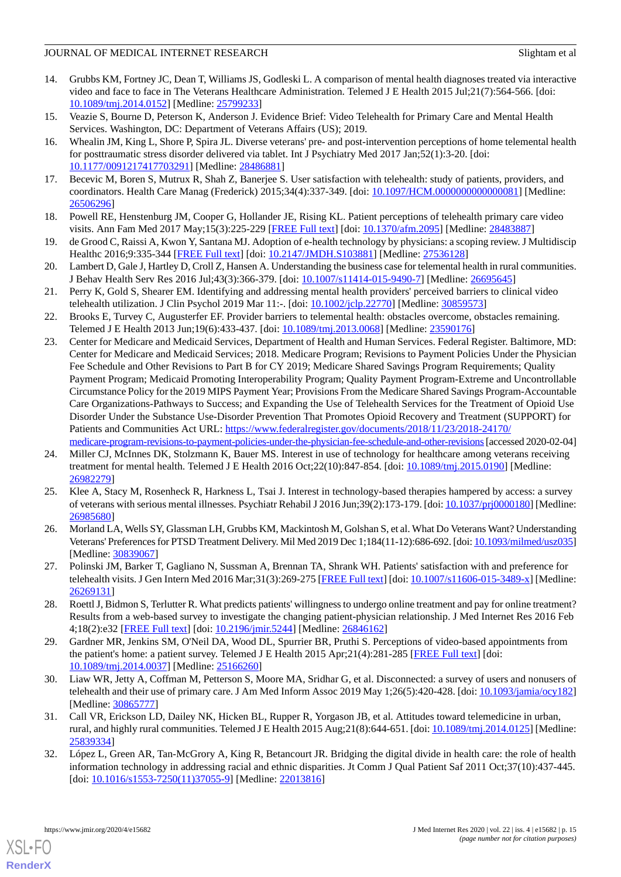- 14. Grubbs KM, Fortney JC, Dean T, Williams JS, Godleski L. A comparison of mental health diagnoses treated via interactive video and face to face in The Veterans Healthcare Administration. Telemed J E Health 2015 Jul;21(7):564-566. [doi: [10.1089/tmj.2014.0152](http://dx.doi.org/10.1089/tmj.2014.0152)] [Medline: [25799233\]](http://www.ncbi.nlm.nih.gov/entrez/query.fcgi?cmd=Retrieve&db=PubMed&list_uids=25799233&dopt=Abstract)
- <span id="page-14-1"></span><span id="page-14-0"></span>15. Veazie S, Bourne D, Peterson K, Anderson J. Evidence Brief: Video Telehealth for Primary Care and Mental Health Services. Washington, DC: Department of Veterans Affairs (US); 2019.
- 16. Whealin JM, King L, Shore P, Spira JL. Diverse veterans' pre- and post-intervention perceptions of home telemental health for posttraumatic stress disorder delivered via tablet. Int J Psychiatry Med 2017 Jan;52(1):3-20. [doi: [10.1177/0091217417703291\]](http://dx.doi.org/10.1177/0091217417703291) [Medline: [28486881\]](http://www.ncbi.nlm.nih.gov/entrez/query.fcgi?cmd=Retrieve&db=PubMed&list_uids=28486881&dopt=Abstract)
- <span id="page-14-14"></span><span id="page-14-2"></span>17. Becevic M, Boren S, Mutrux R, Shah Z, Banerjee S. User satisfaction with telehealth: study of patients, providers, and coordinators. Health Care Manag (Frederick) 2015;34(4):337-349. [doi: [10.1097/HCM.0000000000000081](http://dx.doi.org/10.1097/HCM.0000000000000081)] [Medline: [26506296](http://www.ncbi.nlm.nih.gov/entrez/query.fcgi?cmd=Retrieve&db=PubMed&list_uids=26506296&dopt=Abstract)]
- <span id="page-14-3"></span>18. Powell RE, Henstenburg JM, Cooper G, Hollander JE, Rising KL. Patient perceptions of telehealth primary care video visits. Ann Fam Med 2017 May;15(3):225-229 [\[FREE Full text\]](http://www.annfammed.org/cgi/pmidlookup?view=long&pmid=28483887) [doi: [10.1370/afm.2095\]](http://dx.doi.org/10.1370/afm.2095) [Medline: [28483887](http://www.ncbi.nlm.nih.gov/entrez/query.fcgi?cmd=Retrieve&db=PubMed&list_uids=28483887&dopt=Abstract)]
- 19. de Grood C, Raissi A, Kwon Y, Santana MJ. Adoption of e-health technology by physicians: a scoping review. J Multidiscip Healthc 2016;9:335-344 [[FREE Full text](https://dx.doi.org/10.2147/JMDH.S103881)] [doi: [10.2147/JMDH.S103881](http://dx.doi.org/10.2147/JMDH.S103881)] [Medline: [27536128\]](http://www.ncbi.nlm.nih.gov/entrez/query.fcgi?cmd=Retrieve&db=PubMed&list_uids=27536128&dopt=Abstract)
- 20. Lambert D, Gale J, Hartley D, Croll Z, Hansen A. Understanding the business case for telemental health in rural communities. J Behav Health Serv Res 2016 Jul;43(3):366-379. [doi: [10.1007/s11414-015-9490-7\]](http://dx.doi.org/10.1007/s11414-015-9490-7) [Medline: [26695645](http://www.ncbi.nlm.nih.gov/entrez/query.fcgi?cmd=Retrieve&db=PubMed&list_uids=26695645&dopt=Abstract)]
- <span id="page-14-4"></span>21. Perry K, Gold S, Shearer EM. Identifying and addressing mental health providers' perceived barriers to clinical video telehealth utilization. J Clin Psychol 2019 Mar 11:-. [doi: [10.1002/jclp.22770\]](http://dx.doi.org/10.1002/jclp.22770) [Medline: [30859573\]](http://www.ncbi.nlm.nih.gov/entrez/query.fcgi?cmd=Retrieve&db=PubMed&list_uids=30859573&dopt=Abstract)
- <span id="page-14-5"></span>22. Brooks E, Turvey C, Augusterfer EF. Provider barriers to telemental health: obstacles overcome, obstacles remaining. Telemed J E Health 2013 Jun;19(6):433-437. [doi: [10.1089/tmj.2013.0068](http://dx.doi.org/10.1089/tmj.2013.0068)] [Medline: [23590176](http://www.ncbi.nlm.nih.gov/entrez/query.fcgi?cmd=Retrieve&db=PubMed&list_uids=23590176&dopt=Abstract)]
- 23. Center for Medicare and Medicaid Services, Department of Health and Human Services. Federal Register. Baltimore, MD: Center for Medicare and Medicaid Services; 2018. Medicare Program; Revisions to Payment Policies Under the Physician Fee Schedule and Other Revisions to Part B for CY 2019; Medicare Shared Savings Program Requirements; Quality Payment Program; Medicaid Promoting Interoperability Program; Quality Payment Program-Extreme and Uncontrollable Circumstance Policy for the 2019 MIPS Payment Year; Provisions From the Medicare Shared Savings Program-Accountable Care Organizations-Pathways to Success; and Expanding the Use of Telehealth Services for the Treatment of Opioid Use Disorder Under the Substance Use-Disorder Prevention That Promotes Opioid Recovery and Treatment (SUPPORT) for Patients and Communities Act URL: [https://www.federalregister.gov/documents/2018/11/23/2018-24170/](https://www.federalregister.gov/documents/2018/11/23/2018-24170/medicare-program-revisions-to-payment-policies-under-the-physician-fee-schedule-and-other-revisions) [medicare-program-revisions-to-payment-policies-under-the-physician-fee-schedule-and-other-revisions](https://www.federalregister.gov/documents/2018/11/23/2018-24170/medicare-program-revisions-to-payment-policies-under-the-physician-fee-schedule-and-other-revisions) [accessed 2020-02-04]
- <span id="page-14-7"></span><span id="page-14-6"></span>24. Miller CJ, McInnes DK, Stolzmann K, Bauer MS. Interest in use of technology for healthcare among veterans receiving treatment for mental health. Telemed J E Health 2016 Oct;22(10):847-854. [doi: [10.1089/tmj.2015.0190\]](http://dx.doi.org/10.1089/tmj.2015.0190) [Medline: [26982279](http://www.ncbi.nlm.nih.gov/entrez/query.fcgi?cmd=Retrieve&db=PubMed&list_uids=26982279&dopt=Abstract)]
- <span id="page-14-9"></span><span id="page-14-8"></span>25. Klee A, Stacy M, Rosenheck R, Harkness L, Tsai J. Interest in technology-based therapies hampered by access: a survey of veterans with serious mental illnesses. Psychiatr Rehabil J 2016 Jun;39(2):173-179. [doi: [10.1037/prj0000180](http://dx.doi.org/10.1037/prj0000180)] [Medline: [26985680](http://www.ncbi.nlm.nih.gov/entrez/query.fcgi?cmd=Retrieve&db=PubMed&list_uids=26985680&dopt=Abstract)]
- <span id="page-14-12"></span>26. Morland LA, Wells SY, Glassman LH, Grubbs KM, Mackintosh M, Golshan S, et al. What Do Veterans Want? Understanding Veterans' Preferences for PTSD Treatment Delivery. Mil Med 2019 Dec 1;184(11-12):686-692. [doi: [10.1093/milmed/usz035\]](http://dx.doi.org/10.1093/milmed/usz035) [Medline: [30839067](http://www.ncbi.nlm.nih.gov/entrez/query.fcgi?cmd=Retrieve&db=PubMed&list_uids=30839067&dopt=Abstract)]
- <span id="page-14-15"></span>27. Polinski JM, Barker T, Gagliano N, Sussman A, Brennan TA, Shrank WH. Patients' satisfaction with and preference for telehealth visits. J Gen Intern Med 2016 Mar;31(3):269-275 [\[FREE Full text\]](http://europepmc.org/abstract/MED/26269131) [doi: [10.1007/s11606-015-3489-x](http://dx.doi.org/10.1007/s11606-015-3489-x)] [Medline: [26269131](http://www.ncbi.nlm.nih.gov/entrez/query.fcgi?cmd=Retrieve&db=PubMed&list_uids=26269131&dopt=Abstract)]
- <span id="page-14-10"></span>28. Roettl J, Bidmon S, Terlutter R. What predicts patients' willingness to undergo online treatment and pay for online treatment? Results from a web-based survey to investigate the changing patient-physician relationship. J Med Internet Res 2016 Feb 4;18(2):e32 [\[FREE Full text](https://www.jmir.org/2016/2/e32/)] [doi: [10.2196/jmir.5244](http://dx.doi.org/10.2196/jmir.5244)] [Medline: [26846162](http://www.ncbi.nlm.nih.gov/entrez/query.fcgi?cmd=Retrieve&db=PubMed&list_uids=26846162&dopt=Abstract)]
- <span id="page-14-11"></span>29. Gardner MR, Jenkins SM, O'Neil DA, Wood DL, Spurrier BR, Pruthi S. Perceptions of video-based appointments from the patient's home: a patient survey. Telemed J E Health 2015 Apr;21(4):281-285 [[FREE Full text](http://europepmc.org/abstract/MED/25166260)] [doi: [10.1089/tmj.2014.0037](http://dx.doi.org/10.1089/tmj.2014.0037)] [Medline: [25166260\]](http://www.ncbi.nlm.nih.gov/entrez/query.fcgi?cmd=Retrieve&db=PubMed&list_uids=25166260&dopt=Abstract)
- <span id="page-14-13"></span>30. Liaw WR, Jetty A, Coffman M, Petterson S, Moore MA, Sridhar G, et al. Disconnected: a survey of users and nonusers of telehealth and their use of primary care. J Am Med Inform Assoc 2019 May 1;26(5):420-428. [doi: [10.1093/jamia/ocy182](http://dx.doi.org/10.1093/jamia/ocy182)] [Medline: [30865777](http://www.ncbi.nlm.nih.gov/entrez/query.fcgi?cmd=Retrieve&db=PubMed&list_uids=30865777&dopt=Abstract)]
- 31. Call VR, Erickson LD, Dailey NK, Hicken BL, Rupper R, Yorgason JB, et al. Attitudes toward telemedicine in urban, rural, and highly rural communities. Telemed J E Health 2015 Aug;21(8):644-651. [doi: [10.1089/tmj.2014.0125](http://dx.doi.org/10.1089/tmj.2014.0125)] [Medline: [25839334](http://www.ncbi.nlm.nih.gov/entrez/query.fcgi?cmd=Retrieve&db=PubMed&list_uids=25839334&dopt=Abstract)]
- 32. López L, Green AR, Tan-McGrory A, King R, Betancourt JR. Bridging the digital divide in health care: the role of health information technology in addressing racial and ethnic disparities. Jt Comm J Qual Patient Saf 2011 Oct;37(10):437-445. [doi: [10.1016/s1553-7250\(11\)37055-9](http://dx.doi.org/10.1016/s1553-7250(11)37055-9)] [Medline: [22013816](http://www.ncbi.nlm.nih.gov/entrez/query.fcgi?cmd=Retrieve&db=PubMed&list_uids=22013816&dopt=Abstract)]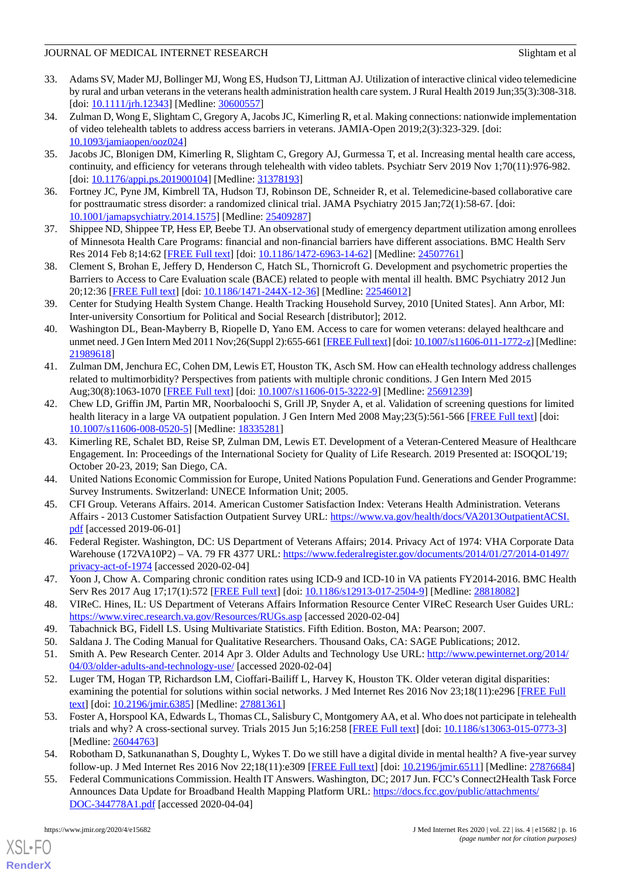- <span id="page-15-0"></span>33. Adams SV, Mader MJ, Bollinger MJ, Wong ES, Hudson TJ, Littman AJ. Utilization of interactive clinical video telemedicine by rural and urban veterans in the veterans health administration health care system. J Rural Health 2019 Jun;35(3):308-318. [doi: [10.1111/jrh.12343\]](http://dx.doi.org/10.1111/jrh.12343) [Medline: [30600557\]](http://www.ncbi.nlm.nih.gov/entrez/query.fcgi?cmd=Retrieve&db=PubMed&list_uids=30600557&dopt=Abstract)
- <span id="page-15-1"></span>34. Zulman D, Wong E, Slightam C, Gregory A, Jacobs JC, Kimerling R, et al. Making connections: nationwide implementation of video telehealth tablets to address access barriers in veterans. JAMIA-Open 2019;2(3):323-329. [doi: [10.1093/jamiaopen/ooz024\]](http://dx.doi.org/10.1093/jamiaopen/ooz024)
- <span id="page-15-3"></span><span id="page-15-2"></span>35. Jacobs JC, Blonigen DM, Kimerling R, Slightam C, Gregory AJ, Gurmessa T, et al. Increasing mental health care access, continuity, and efficiency for veterans through telehealth with video tablets. Psychiatr Serv 2019 Nov 1;70(11):976-982. [doi: [10.1176/appi.ps.201900104](http://dx.doi.org/10.1176/appi.ps.201900104)] [Medline: [31378193](http://www.ncbi.nlm.nih.gov/entrez/query.fcgi?cmd=Retrieve&db=PubMed&list_uids=31378193&dopt=Abstract)]
- <span id="page-15-4"></span>36. Fortney JC, Pyne JM, Kimbrell TA, Hudson TJ, Robinson DE, Schneider R, et al. Telemedicine-based collaborative care for posttraumatic stress disorder: a randomized clinical trial. JAMA Psychiatry 2015 Jan;72(1):58-67. [doi: [10.1001/jamapsychiatry.2014.1575](http://dx.doi.org/10.1001/jamapsychiatry.2014.1575)] [Medline: [25409287](http://www.ncbi.nlm.nih.gov/entrez/query.fcgi?cmd=Retrieve&db=PubMed&list_uids=25409287&dopt=Abstract)]
- 37. Shippee ND, Shippee TP, Hess EP, Beebe TJ. An observational study of emergency department utilization among enrollees of Minnesota Health Care Programs: financial and non-financial barriers have different associations. BMC Health Serv Res 2014 Feb 8;14:62 [\[FREE Full text\]](https://bmchealthservres.biomedcentral.com/articles/10.1186/1472-6963-14-62) [doi: [10.1186/1472-6963-14-62](http://dx.doi.org/10.1186/1472-6963-14-62)] [Medline: [24507761](http://www.ncbi.nlm.nih.gov/entrez/query.fcgi?cmd=Retrieve&db=PubMed&list_uids=24507761&dopt=Abstract)]
- 38. Clement S, Brohan E, Jeffery D, Henderson C, Hatch SL, Thornicroft G. Development and psychometric properties the Barriers to Access to Care Evaluation scale (BACE) related to people with mental ill health. BMC Psychiatry 2012 Jun 20;12:36 [[FREE Full text](https://bmcpsychiatry.biomedcentral.com/articles/10.1186/1471-244X-12-36)] [doi: [10.1186/1471-244X-12-36](http://dx.doi.org/10.1186/1471-244X-12-36)] [Medline: [22546012\]](http://www.ncbi.nlm.nih.gov/entrez/query.fcgi?cmd=Retrieve&db=PubMed&list_uids=22546012&dopt=Abstract)
- <span id="page-15-5"></span>39. Center for Studying Health System Change. Health Tracking Household Survey, 2010 [United States]. Ann Arbor, MI: Inter-university Consortium for Political and Social Research [distributor]; 2012.
- <span id="page-15-6"></span>40. Washington DL, Bean-Mayberry B, Riopelle D, Yano EM. Access to care for women veterans: delayed healthcare and unmet need. J Gen Intern Med 2011 Nov;26(Suppl 2):655-661 [\[FREE Full text\]](http://europepmc.org/abstract/MED/21989618) [doi: [10.1007/s11606-011-1772-z\]](http://dx.doi.org/10.1007/s11606-011-1772-z) [Medline: [21989618](http://www.ncbi.nlm.nih.gov/entrez/query.fcgi?cmd=Retrieve&db=PubMed&list_uids=21989618&dopt=Abstract)]
- <span id="page-15-7"></span>41. Zulman DM, Jenchura EC, Cohen DM, Lewis ET, Houston TK, Asch SM. How can eHealth technology address challenges related to multimorbidity? Perspectives from patients with multiple chronic conditions. J Gen Intern Med 2015 Aug;30(8):1063-1070 [\[FREE Full text](http://europepmc.org/abstract/MED/25691239)] [doi: [10.1007/s11606-015-3222-9\]](http://dx.doi.org/10.1007/s11606-015-3222-9) [Medline: [25691239\]](http://www.ncbi.nlm.nih.gov/entrez/query.fcgi?cmd=Retrieve&db=PubMed&list_uids=25691239&dopt=Abstract)
- <span id="page-15-8"></span>42. Chew LD, Griffin JM, Partin MR, Noorbaloochi S, Grill JP, Snyder A, et al. Validation of screening questions for limited health literacy in a large VA outpatient population. J Gen Intern Med 2008 May;23(5):561-566 [\[FREE Full text\]](http://europepmc.org/abstract/MED/18335281) [doi: [10.1007/s11606-008-0520-5\]](http://dx.doi.org/10.1007/s11606-008-0520-5) [Medline: [18335281](http://www.ncbi.nlm.nih.gov/entrez/query.fcgi?cmd=Retrieve&db=PubMed&list_uids=18335281&dopt=Abstract)]
- <span id="page-15-10"></span><span id="page-15-9"></span>43. Kimerling RE, Schalet BD, Reise SP, Zulman DM, Lewis ET. Development of a Veteran-Centered Measure of Healthcare Engagement. In: Proceedings of the International Society for Quality of Life Research. 2019 Presented at: ISOQOL'19; October 20-23, 2019; San Diego, CA.
- <span id="page-15-11"></span>44. United Nations Economic Commission for Europe, United Nations Population Fund. Generations and Gender Programme: Survey Instruments. Switzerland: UNECE Information Unit; 2005.
- <span id="page-15-12"></span>45. CFI Group. Veterans Affairs. 2014. American Customer Satisfaction Index: Veterans Health Administration. Veterans Affairs - 2013 Customer Satisfaction Outpatient Survey URL: [https://www.va.gov/health/docs/VA2013OutpatientACSI.](https://www.va.gov/health/docs/VA2013OutpatientACSI.pdf) [pdf](https://www.va.gov/health/docs/VA2013OutpatientACSI.pdf) [accessed 2019-06-01]
- <span id="page-15-13"></span>46. Federal Register. Washington, DC: US Department of Veterans Affairs; 2014. Privacy Act of 1974: VHA Corporate Data Warehouse (172VA10P2) – VA. 79 FR 4377 URL: [https://www.federalregister.gov/documents/2014/01/27/2014-01497/](https://www.federalregister.gov/documents/2014/01/27/2014-01497/privacy-act-of-1974) [privacy-act-of-1974](https://www.federalregister.gov/documents/2014/01/27/2014-01497/privacy-act-of-1974) [accessed 2020-02-04]
- <span id="page-15-16"></span><span id="page-15-15"></span><span id="page-15-14"></span>47. Yoon J, Chow A. Comparing chronic condition rates using ICD-9 and ICD-10 in VA patients FY2014-2016. BMC Health Serv Res 2017 Aug 17;17(1):572 [\[FREE Full text\]](https://bmchealthservres.biomedcentral.com/articles/10.1186/s12913-017-2504-9) [doi: [10.1186/s12913-017-2504-9\]](http://dx.doi.org/10.1186/s12913-017-2504-9) [Medline: [28818082\]](http://www.ncbi.nlm.nih.gov/entrez/query.fcgi?cmd=Retrieve&db=PubMed&list_uids=28818082&dopt=Abstract)
- <span id="page-15-17"></span>48. VIReC. Hines, IL: US Department of Veterans Affairs Information Resource Center VIReC Research User Guides URL: <https://www.virec.research.va.gov/Resources/RUGs.asp> [accessed 2020-02-04]
- 49. Tabachnick BG, Fidell LS. Using Multivariate Statistics. Fifth Edition. Boston, MA: Pearson; 2007.
- <span id="page-15-18"></span>50. Saldana J. The Coding Manual for Qualitative Researchers. Thousand Oaks, CA: SAGE Publications; 2012.
- 51. Smith A. Pew Research Center. 2014 Apr 3. Older Adults and Technology Use URL: [http://www.pewinternet.org/2014/](http://www.pewinternet.org/2014/04/03/older-adults-and-technology-use/) [04/03/older-adults-and-technology-use/](http://www.pewinternet.org/2014/04/03/older-adults-and-technology-use/) [accessed 2020-02-04]
- <span id="page-15-19"></span>52. Luger TM, Hogan TP, Richardson LM, Cioffari-Bailiff L, Harvey K, Houston TK. Older veteran digital disparities: examining the potential for solutions within social networks. J Med Internet Res 2016 Nov 23;18(11):e296 [\[FREE Full](https://www.jmir.org/2016/11/e296/) [text](https://www.jmir.org/2016/11/e296/)] [doi: [10.2196/jmir.6385](http://dx.doi.org/10.2196/jmir.6385)] [Medline: [27881361](http://www.ncbi.nlm.nih.gov/entrez/query.fcgi?cmd=Retrieve&db=PubMed&list_uids=27881361&dopt=Abstract)]
- <span id="page-15-20"></span>53. Foster A, Horspool KA, Edwards L, Thomas CL, Salisbury C, Montgomery AA, et al. Who does not participate in telehealth trials and why? A cross-sectional survey. Trials 2015 Jun 5;16:258 [\[FREE Full text\]](https://trialsjournal.biomedcentral.com/articles/10.1186/s13063-015-0773-3) [doi: [10.1186/s13063-015-0773-3\]](http://dx.doi.org/10.1186/s13063-015-0773-3) [Medline: [26044763](http://www.ncbi.nlm.nih.gov/entrez/query.fcgi?cmd=Retrieve&db=PubMed&list_uids=26044763&dopt=Abstract)]
- 54. Robotham D, Satkunanathan S, Doughty L, Wykes T. Do we still have a digital divide in mental health? A five-year survey follow-up. J Med Internet Res 2016 Nov 22;18(11):e309 [[FREE Full text](https://www.jmir.org/2016/11/e309/)] [doi: [10.2196/jmir.6511](http://dx.doi.org/10.2196/jmir.6511)] [Medline: [27876684\]](http://www.ncbi.nlm.nih.gov/entrez/query.fcgi?cmd=Retrieve&db=PubMed&list_uids=27876684&dopt=Abstract)
- 55. Federal Communications Commission. Health IT Answers. Washington, DC; 2017 Jun. FCC's Connect2Health Task Force Announces Data Update for Broadband Health Mapping Platform URL: [https://docs.fcc.gov/public/attachments/](https://docs.fcc.gov/public/attachments/DOC-344778A1.pdf) [DOC-344778A1.pdf](https://docs.fcc.gov/public/attachments/DOC-344778A1.pdf) [accessed 2020-04-04]